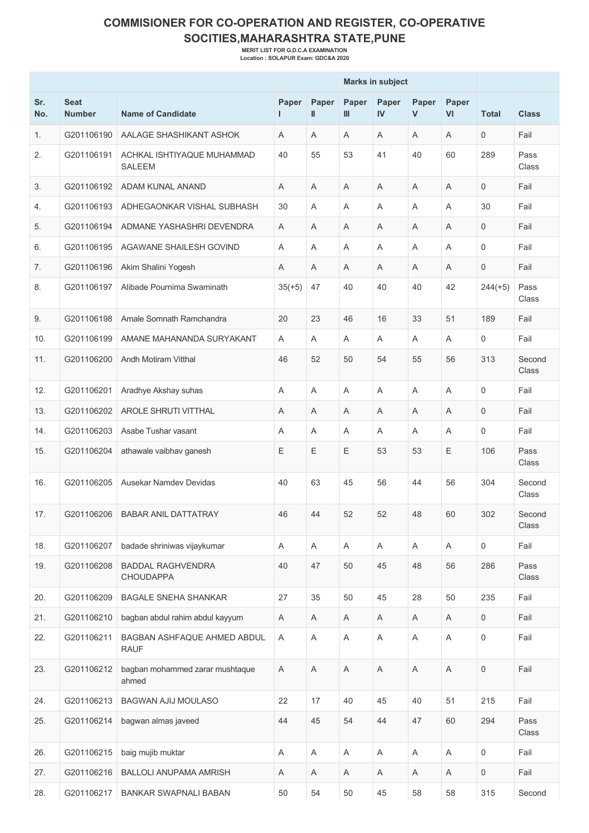## **COMMISIONER FOR CO-OPERATION AND REGISTER, CO-OPERATIVE SOCITIES,MAHARASHTRA STATE,PUNE**

**MERIT LIST FOR G.D.C.A EXAMINATION Location : SOLAPUR Exam: GDC&A 2020**

|            |                              |                                              | <b>Marks in subject</b> |             |             |             |            |                           |                     |                 |
|------------|------------------------------|----------------------------------------------|-------------------------|-------------|-------------|-------------|------------|---------------------------|---------------------|-----------------|
| Sr.<br>No. | <b>Seat</b><br><b>Number</b> | <b>Name of Candidate</b>                     | Paper<br>г              | Paper<br>Ш  | Paper<br>Ш  | Paper<br>IV | Paper<br>V | Paper<br>VI               | <b>Total</b>        | <b>Class</b>    |
| 1.         | G201106190                   | AALAGE SHASHIKANT ASHOK                      | Α                       | A           | A           | A           | Α          | A                         | 0                   | Fail            |
| 2.         | G201106191                   | ACHKAL ISHTIYAQUE MUHAMMAD<br><b>SALEEM</b>  | 40                      | 55          | 53          | 41          | 40         | 60                        | 289                 | Pass<br>Class   |
| 3.         | G201106192                   | ADAM KUNAL ANAND                             | Α                       | Α           | Α           | A           | Α          | Α                         | 0                   | Fail            |
| 4.         | G201106193                   | ADHEGAONKAR VISHAL SUBHASH                   | 30                      | Α           | Α           | A           | Α          | A                         | 30                  | Fail            |
| 5.         | G201106194                   | ADMANE YASHASHRI DEVENDRA                    | A                       | A           | Α           | A           | Α          | A                         | 0                   | Fail            |
| 6.         | G201106195                   | AGAWANE SHAILESH GOVIND                      | A                       | A           | Α           | A           | Α          | Α                         | 0                   | Fail            |
| 7.         | G201106196                   | Akim Shalini Yogesh                          | A                       | A           | Α           | A           | A          | A                         | $\mathbf 0$         | Fail            |
| 8.         | G201106197                   | Alibade Pournima Swaminath                   | $35(+5)$                | 47          | 40          | 40          | 40         | 42                        | $244(+5)$           | Pass<br>Class   |
| 9.         | G201106198                   | Amale Somnath Ramchandra                     | 20                      | 23          | 46          | 16          | 33         | 51                        | 189                 | Fail            |
| 10.        | G201106199                   | AMANE MAHANANDA SURYAKANT                    | A                       | A           | A           | A           | A          | A                         | 0                   | Fail            |
| 11.        | G201106200                   | Andh Motiram Vitthal                         | 46                      | 52          | 50          | 54          | 55         | 56                        | 313                 | Second<br>Class |
| 12.        | G201106201                   | Aradhye Akshay suhas                         | A                       | Α           | Α           | A           | Α          | A                         | 0                   | Fail            |
| 13.        | G201106202                   | AROLE SHRUTI VITTHAL                         | Α                       | Α           | Α           | Α           | Α          | A                         | 0                   | Fail            |
| 14.        | G201106203                   | Asabe Tushar vasant                          | Α                       | A           | A           | A           | A          | A                         | 0                   | Fail            |
| 15.        | G201106204                   | athawale vaibhav ganesh                      | Ε                       | Ε           | Ε           | 53          | 53         | Ε                         | 106                 | Pass<br>Class   |
| 16.        | G201106205                   | Ausekar Namdev Devidas                       | 40                      | 63          | 45          | 56          | 44         | 56                        | 304                 | Second<br>Class |
| 17.        | G201106206                   | <b>BABAR ANIL DATTATRAY</b>                  | 46                      | 44          | 52          | 52          | 48         | 60                        | 302                 | Second<br>Class |
| 18.        | G201106207                   | badade shriniwas vijaykumar                  | A                       | A           | A           | A           | A          | A                         | $\mathbf 0$         | Fail            |
| 19.        | G201106208                   | <b>BADDAL RAGHVENDRA</b><br><b>CHOUDAPPA</b> | 40                      | 47          | 50          | 45          | 48         | 56                        | 286                 | Pass<br>Class   |
| 20.        | G201106209                   | <b>BAGALE SNEHA SHANKAR</b>                  | 27                      | 35          | 50          | 45          | 28         | 50                        | 235                 | Fail            |
| 21.        | G201106210                   | bagban abdul rahim abdul kayyum              | Α                       | A           | Α           | Α           | A          | A                         | $\mathsf{O}$        | Fail            |
| 22.        | G201106211                   | BAGBAN ASHFAQUE AHMED ABDUL<br><b>RAUF</b>   | Α                       | A           | Α           | Α           | A          | $\boldsymbol{\mathsf{A}}$ | $\mathsf{O}\xspace$ | Fail            |
| 23.        | G201106212                   | bagban mohammed zarar mushtaque<br>ahmed     | A                       | $\mathsf A$ | $\mathsf A$ | $\mathsf A$ | Α          | $\mathsf A$               | $\mathsf{O}\xspace$ | Fail            |
| 24.        | G201106213                   | BAGWAN AJIJ MOULASO                          | 22                      | 17          | 40          | 45          | 40         | 51                        | 215                 | Fail            |
| 25.        | G201106214                   | bagwan almas javeed                          | 44                      | 45          | 54          | 44          | 47         | 60                        | 294                 | Pass<br>Class   |
| 26.        | G201106215                   | baig mujib muktar                            | A                       | Α           | A           | A           | A          | $\boldsymbol{\mathsf{A}}$ | $\mathbf 0$         | Fail            |
| 27.        | G201106216                   | BALLOLI ANUPAMA AMRISH                       | Α                       | A           | Α           | Α           | A          | A                         | $\mathbf 0$         | Fail            |
| 28.        | G201106217                   | BANKAR SWAPNALI BABAN                        | 50                      | 54          | 50          | 45          | 58         | 58                        | 315                 | Second          |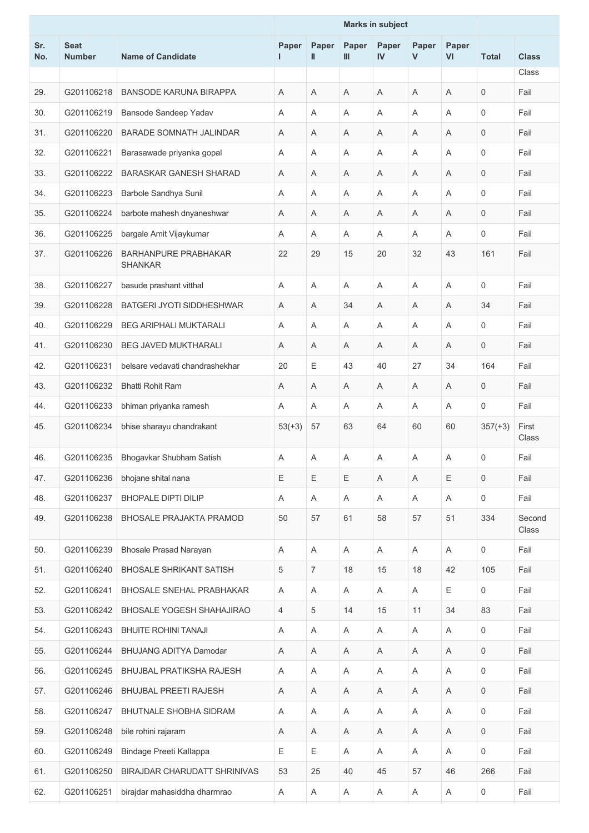|            |                              |                                               |             | <b>Marks in subject</b> |             |                           |            |             |                     |                 |
|------------|------------------------------|-----------------------------------------------|-------------|-------------------------|-------------|---------------------------|------------|-------------|---------------------|-----------------|
| Sr.<br>No. | <b>Seat</b><br><b>Number</b> | <b>Name of Candidate</b>                      | Paper<br>ш  | Paper<br>Ш              | Paper<br>Ш  | Paper<br>IV               | Paper<br>V | Paper<br>VI | <b>Total</b>        | <b>Class</b>    |
|            |                              |                                               |             |                         |             |                           |            |             |                     | Class           |
| 29.        | G201106218                   | <b>BANSODE KARUNA BIRAPPA</b>                 | A           | A                       | A           | A                         | A          | A           | $\mathbf 0$         | Fail            |
| 30.        | G201106219                   | Bansode Sandeep Yadav                         | Α           | A                       | Α           | A                         | Α          | A           | 0                   | Fail            |
| 31.        | G201106220                   | <b>BARADE SOMNATH JALINDAR</b>                | Α           | A                       | A           | A                         | Α          | A           | $\mathbf 0$         | Fail            |
| 32.        | G201106221                   | Barasawade priyanka gopal                     | Α           | Α                       | Α           | A                         | Α          | A           | $\mathbf 0$         | Fail            |
| 33.        | G201106222                   | <b>BARASKAR GANESH SHARAD</b>                 | Α           | Α                       | Α           | Α                         | A          | A           | $\mathbf 0$         | Fail            |
| 34.        | G201106223                   | Barbole Sandhya Sunil                         | Α           | A                       | A           | A                         | A          | A           | $\mathbf 0$         | Fail            |
| 35.        | G201106224                   | barbote mahesh dnyaneshwar                    | Α           | Α                       | Α           | Α                         | Α          | Α           | 0                   | Fail            |
| 36.        | G201106225                   | bargale Amit Vijaykumar                       | Α           | Α                       | Α           | A                         | Α          | A           | $\mathbf 0$         | Fail            |
| 37.        | G201106226                   | <b>BARHANPURE PRABHAKAR</b><br><b>SHANKAR</b> | 22          | 29                      | 15          | 20                        | 32         | 43          | 161                 | Fail            |
| 38.        | G201106227                   | basude prashant vitthal                       | A           | Α                       | A           | A                         | Α          | A           | $\mathbf 0$         | Fail            |
| 39.        | G201106228                   | BATGERI JYOTI SIDDHESHWAR                     | A           | Α                       | 34          | A                         | Α          | A           | 34                  | Fail            |
| 40.        | G201106229                   | <b>BEG ARIPHALI MUKTARALI</b>                 | Α           | Α                       | Α           | A                         | Α          | A           | $\mathbf 0$         | Fail            |
| 41.        | G201106230                   | <b>BEG JAVED MUKTHARALI</b>                   | Α           | Α                       | A           | A                         | Α          | A           | $\mathbf 0$         | Fail            |
| 42.        | G201106231                   | belsare vedavati chandrashekhar               | 20          | Ε                       | 43          | 40                        | 27         | 34          | 164                 | Fail            |
| 43.        | G201106232                   | <b>Bhatti Rohit Ram</b>                       | A           | Α                       | A           | A                         | A          | Α           | 0                   | Fail            |
| 44.        | G201106233                   | bhiman priyanka ramesh                        | Α           | A                       | Α           | A                         | A          | A           | $\mathbf 0$         | Fail            |
| 45.        | G201106234                   | bhise sharayu chandrakant                     | $53(+3)$    | 57                      | 63          | 64                        | 60         | 60          | $357(+3)$           | First<br>Class  |
| 46.        | G201106235                   | Bhogavkar Shubham Satish                      | A           | A                       | Α           | A                         | Α          | Α           | 0                   | Fail            |
| 47.        | G201106236                   | bhojane shital nana                           | Ε           | Ε                       | Ε           | $\mathsf A$               | Α          | Ε           | $\mathbf 0$         | Fail            |
| 48.        | G201106237                   | <b>BHOPALE DIPTI DILIP</b>                    | Α           | A                       | Α           | Α                         | A          | A           | $\mathsf{O}\xspace$ | Fail            |
| 49.        | G201106238                   | <b>BHOSALE PRAJAKTA PRAMOD</b>                | 50          | 57                      | 61          | 58                        | 57         | 51          | 334                 | Second<br>Class |
| 50.        | G201106239                   | <b>Bhosale Prasad Narayan</b>                 | Α           | Α                       | $\mathsf A$ | $\boldsymbol{\mathsf{A}}$ | Α          | A           | $\mathsf{O}$        | Fail            |
| 51.        | G201106240                   | <b>BHOSALE SHRIKANT SATISH</b>                | 5           | $\overline{7}$          | 18          | 15                        | 18         | 42          | 105                 | Fail            |
| 52.        | G201106241                   | <b>BHOSALE SNEHAL PRABHAKAR</b>               | Α           | $\mathsf A$             | Α           | Α                         | Α          | E           | 0                   | Fail            |
| 53.        | G201106242                   | BHOSALE YOGESH SHAHAJIRAO                     | 4           | 5                       | 14          | 15                        | 11         | 34          | 83                  | Fail            |
| 54.        | G201106243                   | <b>BHUITE ROHINI TANAJI</b>                   | Α           | A                       | Α           | Α                         | A          | A           | $\mathbf 0$         | Fail            |
| 55.        | G201106244                   | BHUJANG ADITYA Damodar                        | $\mathsf A$ | A                       | $\mathsf A$ | $\mathsf A$               | Α          | $\mathsf A$ | $\mathsf{O}\xspace$ | Fail            |
| 56.        | G201106245                   | BHUJBAL PRATIKSHA RAJESH                      | Α           | A                       | Α           | Α                         | A          | Α           | $\mathbf 0$         | Fail            |
| 57.        | G201106246                   | <b>BHUJBAL PREETI RAJESH</b>                  | Α           | A                       | Α           | Α                         | A          | Α           | $\mathbf 0$         | Fail            |
| 58.        | G201106247                   | <b>BHUTNALE SHOBHA SIDRAM</b>                 | A           | A                       | A           | A                         | A          | A           | $\mathsf{O}\xspace$ | Fail            |
| 59.        | G201106248                   | bile rohini rajaram                           | Α           | A                       | Α           | Α                         | A          | A           | $\mathbf 0$         | Fail            |
| 60.        | G201106249                   | Bindage Preeti Kallappa                       | Ε           | Ε                       | $\mathsf A$ | A                         | Α          | A           | $\mathsf{O}$        | Fail            |
| 61.        | G201106250                   | BIRAJDAR CHARUDATT SHRINIVAS                  | 53          | 25                      | 40          | 45                        | 57         | 46          | 266                 | Fail            |
| 62.        | G201106251                   | birajdar mahasiddha dharmrao                  | Α           | Α                       | Α           | A                         | A          | A           | 0                   | Fail            |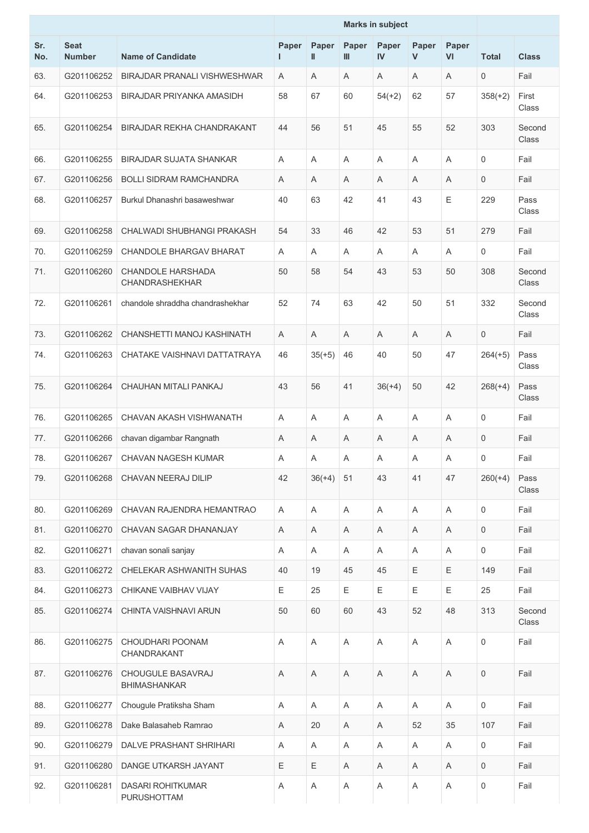|            |                              |                                                   | <b>Marks in subject</b> |            |            |             |            |             |                     |                 |
|------------|------------------------------|---------------------------------------------------|-------------------------|------------|------------|-------------|------------|-------------|---------------------|-----------------|
| Sr.<br>No. | <b>Seat</b><br><b>Number</b> | <b>Name of Candidate</b>                          | Paper<br>ш              | Paper<br>Ш | Paper<br>Ш | Paper<br>IV | Paper<br>V | Paper<br>VI | <b>Total</b>        | <b>Class</b>    |
| 63.        | G201106252                   | BIRAJDAR PRANALI VISHWESHWAR                      | A                       | A          | A          | A           | A          | A           | 0                   | Fail            |
| 64.        | G201106253                   | BIRAJDAR PRIYANKA AMASIDH                         | 58                      | 67         | 60         | $54(+2)$    | 62         | 57          | $358(+2)$           | First<br>Class  |
| 65.        | G201106254                   | BIRAJDAR REKHA CHANDRAKANT                        | 44                      | 56         | 51         | 45          | 55         | 52          | 303                 | Second<br>Class |
| 66.        | G201106255                   | <b>BIRAJDAR SUJATA SHANKAR</b>                    | A                       | Α          | Α          | A           | Α          | A           | 0                   | Fail            |
| 67.        | G201106256                   | <b>BOLLI SIDRAM RAMCHANDRA</b>                    | A                       | A          | A          | A           | Α          | A           | $\mathbf 0$         | Fail            |
| 68.        | G201106257                   | Burkul Dhanashri basaweshwar                      | 40                      | 63         | 42         | 41          | 43         | E           | 229                 | Pass<br>Class   |
| 69.        | G201106258                   | CHALWADI SHUBHANGI PRAKASH                        | 54                      | 33         | 46         | 42          | 53         | 51          | 279                 | Fail            |
| 70.        | G201106259                   | CHANDOLE BHARGAV BHARAT                           | A                       | Α          | Α          | A           | Α          | A           | 0                   | Fail            |
| 71.        | G201106260                   | <b>CHANDOLE HARSHADA</b><br><b>CHANDRASHEKHAR</b> | 50                      | 58         | 54         | 43          | 53         | 50          | 308                 | Second<br>Class |
| 72.        | G201106261                   | chandole shraddha chandrashekhar                  | 52                      | 74         | 63         | 42          | 50         | 51          | 332                 | Second<br>Class |
| 73.        | G201106262                   | CHANSHETTI MANOJ KASHINATH                        | A                       | A          | Α          | A           | Α          | A           | $\mathbf 0$         | Fail            |
| 74.        | G201106263                   | CHATAKE VAISHNAVI DATTATRAYA                      | 46                      | $35(+5)$   | 46         | 40          | 50         | 47          | $264(+5)$           | Pass<br>Class   |
| 75.        | G201106264                   | CHAUHAN MITALI PANKAJ                             | 43                      | 56         | 41         | $36(+4)$    | 50         | 42          | $268(+4)$           | Pass<br>Class   |
| 76.        | G201106265                   | CHAVAN AKASH VISHWANATH                           | A                       | Α          | Α          | A           | Α          | A           | 0                   | Fail            |
| 77.        | G201106266                   | chavan digambar Rangnath                          | Α                       | A          | Α          | A           | Α          | Α           | 0                   | Fail            |
| 78.        | G201106267                   | CHAVAN NAGESH KUMAR                               | Α                       | A          | Α          | Α           | Α          | Α           | 0                   | Fail            |
| 79.        | G201106268                   | CHAVAN NEERAJ DILIP                               | 42                      | $36(+4)$   | 51         | 43          | 41         | 47          | $260(+4)$           | Pass<br>Class   |
| 80.        | G201106269                   | CHAVAN RAJENDRA HEMANTRAO                         | A                       | A          | A          | A           | A          | A           | 0                   | Fail            |
| 81.        | G201106270                   | CHAVAN SAGAR DHANANJAY                            | A                       | Α          | A          | A           | Α          | A           | $\mathbf 0$         | Fail            |
| 82.        | G201106271                   | chavan sonali sanjay                              | Α                       | A          | Α          | A           | Α          | A           | $\mathbf 0$         | Fail            |
| 83.        | G201106272                   | CHELEKAR ASHWANITH SUHAS                          | 40                      | 19         | 45         | 45          | Ε          | Ε           | 149                 | Fail            |
| 84.        | G201106273                   | CHIKANE VAIBHAV VIJAY                             | E                       | 25         | E          | Ε           | Ε          | Ε           | 25                  | Fail            |
| 85.        | G201106274                   | CHINTA VAISHNAVI ARUN                             | 50                      | 60         | 60         | 43          | 52         | 48          | 313                 | Second<br>Class |
| 86.        | G201106275                   | CHOUDHARI POONAM<br>CHANDRAKANT                   | A                       | A          | A          | A           | A          | A           | $\mathbf 0$         | Fail            |
| 87.        | G201106276                   | CHOUGULE BASAVRAJ<br><b>BHIMASHANKAR</b>          | Α                       | Α          | A          | A           | A          | A           | $\mathbf 0$         | Fail            |
| 88.        | G201106277                   | Chougule Pratiksha Sham                           | A                       | A          | Α          | Α           | A          | Α           | $\mathsf{O}\xspace$ | Fail            |
| 89.        | G201106278                   | Dake Balasaheb Ramrao                             | Α                       | 20         | A          | A           | 52         | 35          | 107                 | Fail            |
| 90.        | G201106279                   | <b>DALVE PRASHANT SHRIHARI</b>                    | A                       | Α          | A          | A           | A          | A           | $\mathsf{O}\xspace$ | Fail            |
| 91.        | G201106280                   | DANGE UTKARSH JAYANT                              | Ε                       | Е          | Α          | A           | A          | A           | 0                   | Fail            |
| 92.        | G201106281                   | <b>DASARI ROHITKUMAR</b><br>PURUSHOTTAM           | Α                       | Α          | Α          | Α           | Α          | Α           | 0                   | Fail            |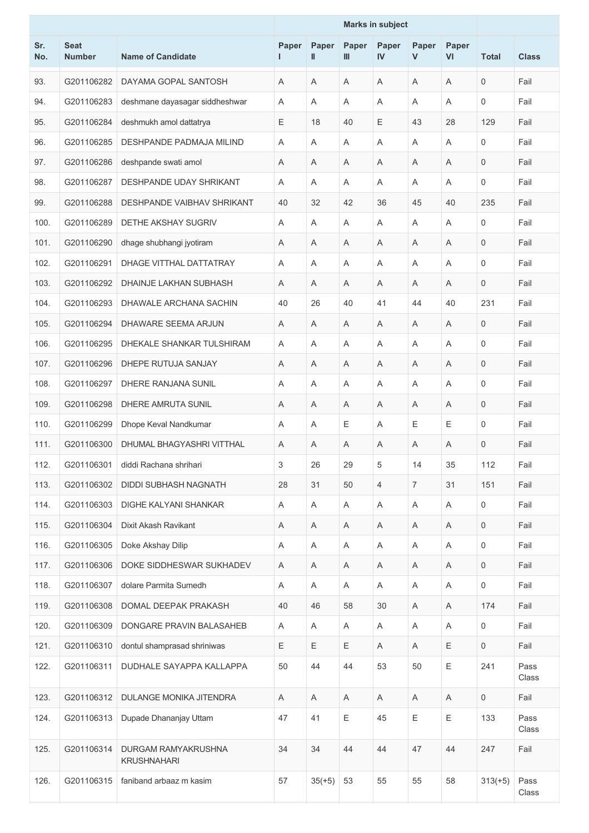|            |                              |                                           |            | <b>Marks in subject</b> |                           |                |                |             |                |               |
|------------|------------------------------|-------------------------------------------|------------|-------------------------|---------------------------|----------------|----------------|-------------|----------------|---------------|
| Sr.<br>No. | <b>Seat</b><br><b>Number</b> | <b>Name of Candidate</b>                  | Paper<br>L | Paper<br>Ш              | Paper<br>Ш                | Paper<br>IV    | Paper<br>V     | Paper<br>VI | <b>Total</b>   | <b>Class</b>  |
| 93.        | G201106282                   | DAYAMA GOPAL SANTOSH                      | Α          | Α                       | A                         | A              | A              | A           | $\mathsf 0$    | Fail          |
| 94.        | G201106283                   | deshmane dayasagar siddheshwar            | A          | Α                       | A                         | A              | Α              | A           | $\mathbf 0$    | Fail          |
| 95.        | G201106284                   | deshmukh amol dattatrya                   | Ε          | 18                      | 40                        | Е              | 43             | 28          | 129            | Fail          |
| 96.        | G201106285                   | <b>DESHPANDE PADMAJA MILIND</b>           | Α          | Α                       | Α                         | A              | Α              | A           | 0              | Fail          |
| 97.        | G201106286                   | deshpande swati amol                      | Α          | Α                       | Α                         | A              | Α              | A           | $\mathbf 0$    | Fail          |
| 98.        | G201106287                   | DESHPANDE UDAY SHRIKANT                   | A          | A                       | A                         | A              | Α              | A           | $\mathbf 0$    | Fail          |
| 99.        | G201106288                   | DESHPANDE VAIBHAV SHRIKANT                | 40         | 32                      | 42                        | 36             | 45             | 40          | 235            | Fail          |
| 100.       | G201106289                   | <b>DETHE AKSHAY SUGRIV</b>                | A          | A                       | A                         | A              | Α              | A           | $\mathbf 0$    | Fail          |
| 101.       | G201106290                   | dhage shubhangi jyotiram                  | Α          | A                       | Α                         | A              | Α              | Α           | $\mathbf 0$    | Fail          |
| 102.       | G201106291                   | DHAGE VITTHAL DATTATRAY                   | A          | Α                       | A                         | A              | Α              | A           | $\mathbf 0$    | Fail          |
| 103.       | G201106292                   | DHAINJE LAKHAN SUBHASH                    | Α          | A                       | A                         | A              | A              | Α           | $\mathbf 0$    | Fail          |
| 104.       | G201106293                   | DHAWALE ARCHANA SACHIN                    | 40         | 26                      | 40                        | 41             | 44             | 40          | 231            | Fail          |
| 105.       | G201106294                   | DHAWARE SEEMA ARJUN                       | A          | A                       | A                         | A              | A              | A           | $\mathbf 0$    | Fail          |
| 106.       | G201106295                   | DHEKALE SHANKAR TULSHIRAM                 | Α          | Α                       | Α                         | Α              | Α              | A           | 0              | Fail          |
| 107.       | G201106296                   | DHEPE RUTUJA SANJAY                       | Α          | Α                       | A                         | A              | Α              | A           | $\mathbf 0$    | Fail          |
| 108.       | G201106297                   | DHERE RANJANA SUNIL                       | Α          | A                       | A                         | A              | Α              | A           | $\mathbf 0$    | Fail          |
| 109.       | G201106298                   | DHERE AMRUTA SUNIL                        | Α          | Α                       | A                         | A              | Α              | Α           | $\mathbf 0$    | Fail          |
| 110.       | G201106299                   | Dhope Keval Nandkumar                     | A          | A                       | Е                         | A              | Ε              | E           | $\mathbf 0$    | Fail          |
| 111.       | G201106300                   | DHUMAL BHAGYASHRI VITTHAL                 | Α          | A                       | Α                         | Α              | Α              | A           | $\overline{0}$ | Fail          |
| 112.       | G201106301                   | diddi Rachana shrihari                    | 3          | 26                      | 29                        | 5              | 14             | 35          | 112            | Fail          |
| 113.       | G201106302                   | DIDDI SUBHASH NAGNATH                     | 28         | 31                      | 50                        | $\overline{4}$ | $\overline{7}$ | 31          | 151            | Fail          |
| 114.       | G201106303                   | DIGHE KALYANI SHANKAR                     | Α          | A                       | Α                         | Α              | A              | Α           | 0              | Fail          |
| 115.       | G201106304                   | Dixit Akash Ravikant                      | Α          | A                       | Α                         | Α              | Α              | Α           | 0              | Fail          |
| 116.       | G201106305                   | Doke Akshay Dilip                         | Α          | A                       | Α                         | A              | Α              | A           | 0              | Fail          |
| 117.       | G201106306                   | DOKE SIDDHESWAR SUKHADEV                  | Α          | A                       | Α                         | Α              | Α              | A           | 0              | Fail          |
| 118.       | G201106307                   | dolare Parmita Sumedh                     | Α          | A                       | $\boldsymbol{\mathsf{A}}$ | A              | Α              | Α           | 0              | Fail          |
| 119.       | G201106308                   | DOMAL DEEPAK PRAKASH                      | 40         | 46                      | 58                        | 30             | A              | A           | 174            | Fail          |
| 120.       | G201106309                   | DONGARE PRAVIN BALASAHEB                  | A          | Α                       | Α                         | A              | Α              | A           | 0              | Fail          |
| 121.       | G201106310                   | dontul shamprasad shriniwas               | Ε          | Ε                       | Ε                         | A              | A              | Ε           | 0              | Fail          |
| 122.       | G201106311                   | DUDHALE SAYAPPA KALLAPPA                  | 50         | 44                      | 44                        | 53             | 50             | $\mathsf E$ | 241            | Pass<br>Class |
| 123.       | G201106312                   | DULANGE MONIKA JITENDRA                   | A          | Α                       | A                         | A              | Α              | A           | 0              | Fail          |
| 124.       | G201106313                   | Dupade Dhananjay Uttam                    | 47         | 41                      | Ε                         | 45             | Ε              | $\mathsf E$ | 133            | Pass<br>Class |
| 125.       | G201106314                   | DURGAM RAMYAKRUSHNA<br><b>KRUSHNAHARI</b> | 34         | 34                      | 44                        | 44             | 47             | 44          | 247            | Fail          |
| 126.       | G201106315                   | faniband arbaaz m kasim                   | 57         | $35(+5)$                | 53                        | 55             | 55             | 58          | $313(+5)$      | Pass<br>Class |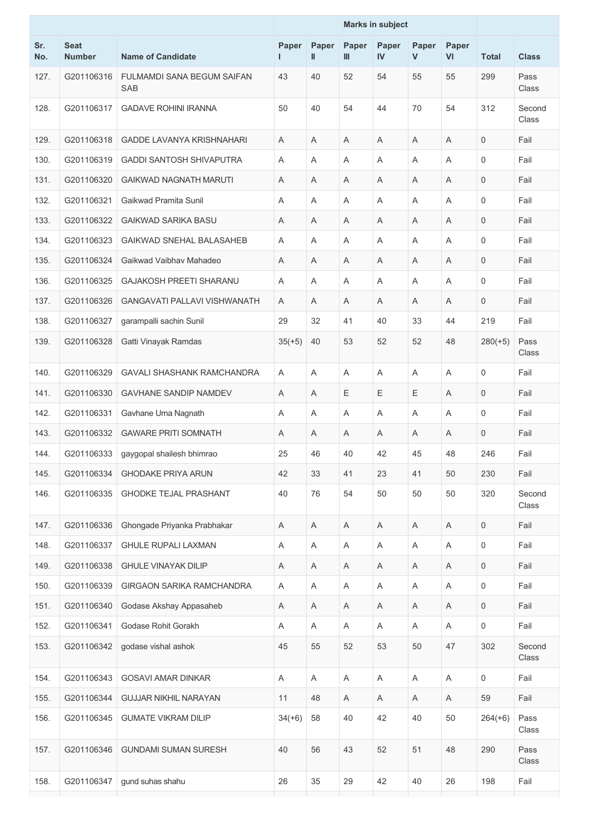|            |                              |                                          | <b>Marks in subject</b> |            |             |                       |            |                           |                     |                 |
|------------|------------------------------|------------------------------------------|-------------------------|------------|-------------|-----------------------|------------|---------------------------|---------------------|-----------------|
| Sr.<br>No. | <b>Seat</b><br><b>Number</b> | <b>Name of Candidate</b>                 | Paper<br>L              | Paper<br>Ш | Paper<br>Ш  | Paper<br>$\mathbf{N}$ | Paper<br>V | Paper<br>VI               | <b>Total</b>        | <b>Class</b>    |
| 127.       | G201106316                   | <b>FULMAMDI SANA BEGUM SAIFAN</b><br>SAB | 43                      | 40         | 52          | 54                    | 55         | 55                        | 299                 | Pass<br>Class   |
| 128.       | G201106317                   | <b>GADAVE ROHINI IRANNA</b>              | 50                      | 40         | 54          | 44                    | 70         | 54                        | 312                 | Second<br>Class |
| 129.       | G201106318                   | <b>GADDE LAVANYA KRISHNAHARI</b>         | A                       | Α          | Α           | Α                     | Α          | A                         | $\mathbf 0$         | Fail            |
| 130.       | G201106319                   | <b>GADDI SANTOSH SHIVAPUTRA</b>          | A                       | Α          | Α           | A                     | Α          | A                         | $\mathbf 0$         | Fail            |
| 131.       | G201106320                   | <b>GAIKWAD NAGNATH MARUTI</b>            | Α                       | Α          | Α           | A                     | Α          | A                         | 0                   | Fail            |
| 132.       | G201106321                   | Gaikwad Pramita Sunil                    | A                       | Α          | Α           | A                     | A          | A                         | 0                   | Fail            |
| 133.       | G201106322                   | <b>GAIKWAD SARIKA BASU</b>               | Α                       | Α          | Α           | A                     | Α          | A                         | $\mathbf 0$         | Fail            |
| 134.       | G201106323                   | <b>GAIKWAD SNEHAL BALASAHEB</b>          | A                       | Α          | Α           | A                     | A          | A                         | $\mathbf 0$         | Fail            |
| 135.       | G201106324                   | Gaikwad Vaibhay Mahadeo                  | A                       | Α          | Α           | A                     | Α          | A                         | $\mathbf 0$         | Fail            |
| 136.       | G201106325                   | <b>GAJAKOSH PREETI SHARANU</b>           | Α                       | A          | A           | A                     | Α          | A                         | 0                   | Fail            |
| 137.       | G201106326                   | <b>GANGAVATI PALLAVI VISHWANATH</b>      | A                       | A          | A           | A                     | A          | A                         | 0                   | Fail            |
| 138.       | G201106327                   | garampalli sachin Sunil                  | 29                      | 32         | 41          | 40                    | 33         | 44                        | 219                 | Fail            |
| 139.       | G201106328                   | Gatti Vinayak Ramdas                     | $35(+5)$                | 40         | 53          | 52                    | 52         | 48                        | $280(+5)$           | Pass<br>Class   |
| 140.       | G201106329                   | <b>GAVALI SHASHANK RAMCHANDRA</b>        | A                       | Α          | Α           | A                     | A          | A                         | $\mathbf 0$         | Fail            |
| 141.       | G201106330                   | <b>GAVHANE SANDIP NAMDEV</b>             | A                       | Α          | Е           | Е                     | Ε          | A                         | 0                   | Fail            |
| 142.       | G201106331                   | Gavhane Uma Nagnath                      | A                       | Α          | Α           | A                     | A          | A                         | 0                   | Fail            |
| 143.       | G201106332                   | <b>GAWARE PRITI SOMNATH</b>              | Α                       | A          | Α           | Α                     | Α          | A                         | 0                   | Fail            |
| 144.       | G201106333                   | gaygopal shailesh bhimrao                | 25                      | 46         | 40          | 42                    | 45         | 48                        | 246                 | Fail            |
| 145.       | G201106334                   | <b>GHODAKE PRIYA ARUN</b>                | 42                      | 33         | 41          | 23                    | 41         | 50                        | 230                 | Fail            |
| 146.       | G201106335                   | <b>GHODKE TEJAL PRASHANT</b>             | 40                      | 76         | 54          | 50                    | 50         | 50                        | 320                 | Second<br>Class |
| 147.       | G201106336                   | Ghongade Priyanka Prabhakar              | Α                       | A          | Α           | Α                     | Α          | Α                         | $\mathbf 0$         | Fail            |
| 148.       | G201106337                   | <b>GHULE RUPALI LAXMAN</b>               | Α                       | A          | Α           | A                     | A          | A                         | $\mathsf{O}\xspace$ | Fail            |
| 149.       | G201106338                   | <b>GHULE VINAYAK DILIP</b>               | Α                       | A          | Α           | Α                     | A          | Α                         | $\mathbf 0$         | Fail            |
| 150.       | G201106339                   | GIRGAON SARIKA RAMCHANDRA                | Α                       | A          | $\mathsf A$ | A                     | Α          | $\boldsymbol{\mathsf{A}}$ | $\mathbf 0$         | Fail            |
| 151.       | G201106340                   | Godase Akshay Appasaheb                  | Α                       | A          | Α           | A                     | Α          | A                         | 0                   | Fail            |
| 152.       | G201106341                   | Godase Rohit Gorakh                      | Α                       | A          | Α           | Α                     | A          | A                         | $\mathsf{O}\xspace$ | Fail            |
| 153.       | G201106342                   | godase vishal ashok                      | 45                      | 55         | 52          | 53                    | 50         | 47                        | 302                 | Second<br>Class |
| 154.       | G201106343                   | <b>GOSAVI AMAR DINKAR</b>                | Α                       | A          | Α           | Α                     | A          | Α                         | 0                   | Fail            |
| 155.       | G201106344                   | <b>GUJJAR NIKHIL NARAYAN</b>             | 11                      | 48         | Α           | A                     | Α          | A                         | 59                  | Fail            |
| 156.       | G201106345                   | <b>GUMATE VIKRAM DILIP</b>               | $34(+6)$                | 58         | 40          | 42                    | 40         | 50                        | $264(+6)$           | Pass<br>Class   |
| 157.       | G201106346                   | <b>GUNDAMI SUMAN SURESH</b>              | 40                      | 56         | 43          | 52                    | 51         | 48                        | 290                 | Pass<br>Class   |
| 158.       | G201106347                   | gund suhas shahu                         | 26                      | 35         | 29          | 42                    | 40         | 26                        | 198                 | Fail            |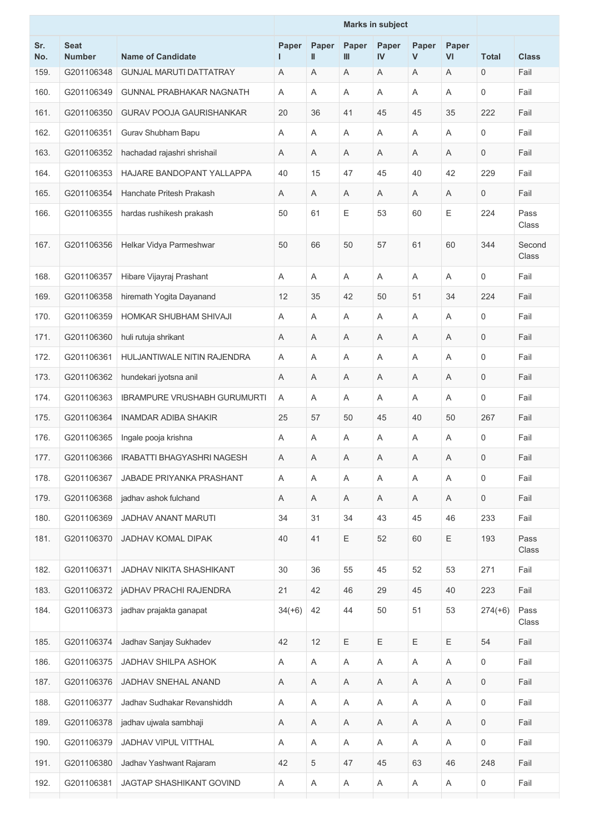|            |                              |                                     |             |            | <b>Marks in subject</b> |             |            |                           |                     |                 |
|------------|------------------------------|-------------------------------------|-------------|------------|-------------------------|-------------|------------|---------------------------|---------------------|-----------------|
| Sr.<br>No. | <b>Seat</b><br><b>Number</b> | <b>Name of Candidate</b>            | Paper<br>L  | Paper<br>Ш | Paper<br>Ш              | Paper<br>IV | Paper<br>V | Paper<br>VI               | <b>Total</b>        | <b>Class</b>    |
| 159.       | G201106348                   | <b>GUNJAL MARUTI DATTATRAY</b>      | Α           | Α          | Α                       | A           | A          | Α                         | 0                   | Fail            |
| 160.       | G201106349                   | <b>GUNNAL PRABHAKAR NAGNATH</b>     | A           | Α          | Α                       | A           | Α          | A                         | 0                   | Fail            |
| 161.       | G201106350                   | <b>GURAV POOJA GAURISHANKAR</b>     | 20          | 36         | 41                      | 45          | 45         | 35                        | 222                 | Fail            |
| 162.       | G201106351                   | Gurav Shubham Bapu                  | A           | Α          | Α                       | A           | Α          | A                         | 0                   | Fail            |
| 163.       | G201106352                   | hachadad rajashri shrishail         | A           | Α          | A                       | A           | Α          | A                         | 0                   | Fail            |
| 164.       | G201106353                   | HAJARE BANDOPANT YALLAPPA           | 40          | 15         | 47                      | 45          | 40         | 42                        | 229                 | Fail            |
| 165.       | G201106354                   | Hanchate Pritesh Prakash            | A           | Α          | Α                       | A           | Α          | $\mathsf A$               | $\mathbf 0$         | Fail            |
| 166.       | G201106355                   | hardas rushikesh prakash            | 50          | 61         | Е                       | 53          | 60         | Ε                         | 224                 | Pass<br>Class   |
| 167.       | G201106356                   | Helkar Vidya Parmeshwar             | 50          | 66         | 50                      | 57          | 61         | 60                        | 344                 | Second<br>Class |
| 168.       | G201106357                   | Hibare Vijayraj Prashant            | A           | Α          | A                       | A           | A          | A                         | 0                   | Fail            |
| 169.       | G201106358                   | hiremath Yogita Dayanand            | 12          | 35         | 42                      | 50          | 51         | 34                        | 224                 | Fail            |
| 170.       | G201106359                   | HOMKAR SHUBHAM SHIVAJI              | Α           | Α          | Α                       | Α           | Α          | A                         | 0                   | Fail            |
| 171.       | G201106360                   | huli rutuja shrikant                | A           | Α          | Α                       | A           | Α          | A                         | 0                   | Fail            |
| 172.       | G201106361                   | HULJANTIWALE NITIN RAJENDRA         | Α           | Α          | Α                       | Α           | Α          | Α                         | 0                   | Fail            |
| 173.       | G201106362                   | hundekari jyotsna anil              | A           | Α          | Α                       | Α           | Α          | A                         | $\mathbf 0$         | Fail            |
| 174.       | G201106363                   | <b>IBRAMPURE VRUSHABH GURUMURTI</b> | A           | A          | Α                       | A           | Α          | $\overline{A}$            | $\mathbf 0$         | Fail            |
| 175.       | G201106364                   | <b>INAMDAR ADIBA SHAKIR</b>         | 25          | 57         | 50                      | 45          | 40         | 50                        | 267                 | Fail            |
| 176.       | G201106365                   | Ingale pooja krishna                | A           | Α          | Α                       | A           | Α          | A                         | 0                   | Fail            |
| 177.       | G201106366                   | IRABATTI BHAGYASHRI NAGESH          | Α           | A          | A                       | Α           | A          | Α                         | 0                   | Fail            |
| 178.       | G201106367                   | JABADE PRIYANKA PRASHANT            | Α           | Α          | A                       | Α           | Α          | $\boldsymbol{\mathsf{A}}$ | $\mathbf 0$         | Fail            |
| 179.       | G201106368                   | jadhav ashok fulchand               | Α           | Α          | Α                       | A           | A          | A                         | $\mathsf{O}\xspace$ | Fail            |
| 180.       | G201106369                   | JADHAV ANANT MARUTI                 | 34          | 31         | 34                      | 43          | 45         | 46                        | 233                 | Fail            |
| 181.       | G201106370                   | <b>JADHAV KOMAL DIPAK</b>           | 40          | 41         | Ε                       | 52          | 60         | Ε                         | 193                 | Pass<br>Class   |
| 182.       | G201106371                   | JADHAV NIKITA SHASHIKANT            | 30          | 36         | 55                      | 45          | 52         | 53                        | 271                 | Fail            |
| 183.       | G201106372                   | <b>jADHAV PRACHI RAJENDRA</b>       | 21          | 42         | 46                      | 29          | 45         | 40                        | 223                 | Fail            |
| 184.       | G201106373                   | jadhav prajakta ganapat             | $34(+6)$    | 42         | 44                      | 50          | 51         | 53                        | $274(+6)$           | Pass<br>Class   |
| 185.       | G201106374                   | Jadhav Sanjay Sukhadev              | 42          | 12         | Ε                       | Ε           | Ε          | Ε                         | 54                  | Fail            |
| 186.       | G201106375                   | JADHAV SHILPA ASHOK                 | Α           | Α          | Α                       | Α           | Α          | $\boldsymbol{\mathsf{A}}$ | $\mathbf 0$         | Fail            |
| 187.       | G201106376                   | JADHAV SNEHAL ANAND                 | Α           | Α          | Α                       | A           | A          | A                         | $\mathbf 0$         | Fail            |
| 188.       | G201106377                   | Jadhav Sudhakar Revanshiddh         | Α           | Α          | Α                       | Α           | Α          | Α                         | $\mathbf 0$         | Fail            |
| 189.       | G201106378                   | jadhav ujwala sambhaji              | $\mathsf A$ | A          | Α                       | $\mathsf A$ | Α          | $\boldsymbol{\mathsf{A}}$ | $\mathsf{O}\xspace$ | Fail            |
| 190.       | G201106379                   | JADHAV VIPUL VITTHAL                | Α           | Α          | Α                       | Α           | A          | Α                         | $\mathbf 0$         | Fail            |
| 191.       | G201106380                   | Jadhav Yashwant Rajaram             | 42          | 5          | 47                      | 45          | 63         | 46                        | 248                 | Fail            |
| 192.       | G201106381                   | JAGTAP SHASHIKANT GOVIND            | Α           | A          | Α                       | Α           | A          | Α                         | 0                   | Fail            |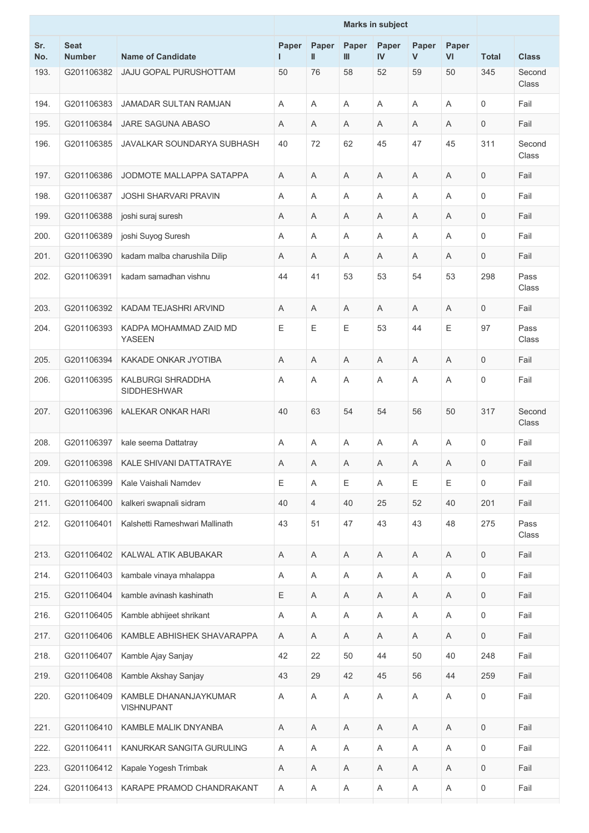|            |                              |                                            |             |                | <b>Marks in subject</b> |             |             |                           |                     |                 |
|------------|------------------------------|--------------------------------------------|-------------|----------------|-------------------------|-------------|-------------|---------------------------|---------------------|-----------------|
| Sr.<br>No. | <b>Seat</b><br><b>Number</b> | <b>Name of Candidate</b>                   | Paper<br>ш  | Paper<br>Ш     | Paper<br>Ш              | Paper<br>IV | Paper<br>V  | Paper<br>VI               | <b>Total</b>        | <b>Class</b>    |
| 193.       | G201106382                   | JAJU GOPAL PURUSHOTTAM                     | 50          | 76             | 58                      | 52          | 59          | 50                        | 345                 | Second<br>Class |
| 194.       | G201106383                   | JAMADAR SULTAN RAMJAN                      | A           | A              | A                       | A           | A           | A                         | $\mathbf 0$         | Fail            |
| 195.       | G201106384                   | JARE SAGUNA ABASO                          | A           | Α              | A                       | A           | A           | A                         | 0                   | Fail            |
| 196.       | G201106385                   | JAVALKAR SOUNDARYA SUBHASH                 | 40          | 72             | 62                      | 45          | 47          | 45                        | 311                 | Second<br>Class |
| 197.       | G201106386                   | JODMOTE MALLAPPA SATAPPA                   | A           | A              | A                       | A           | A           | A                         | $\mathbf 0$         | Fail            |
| 198.       | G201106387                   | <b>JOSHI SHARVARI PRAVIN</b>               | A           | A              | A                       | A           | A           | A                         | $\mathbf 0$         | Fail            |
| 199.       | G201106388                   | joshi suraj suresh                         | Α           | Α              | Α                       | Α           | Α           | Α                         | 0                   | Fail            |
| 200.       | G201106389                   | joshi Suyog Suresh                         | A           | A              | A                       | A           | A           | A                         | $\mathbf 0$         | Fail            |
| 201.       | G201106390                   | kadam malba charushila Dilip               | Α           | Α              | Α                       | A           | Α           | A                         | $\mathbf 0$         | Fail            |
| 202.       | G201106391                   | kadam samadhan vishnu                      | 44          | 41             | 53                      | 53          | 54          | 53                        | 298                 | Pass<br>Class   |
| 203.       | G201106392                   | KADAM TEJASHRI ARVIND                      | A           | Α              | A                       | A           | A           | A                         | $\mathbf 0$         | Fail            |
| 204.       | G201106393                   | KADPA MOHAMMAD ZAID MD<br><b>YASEEN</b>    | Ε           | Е              | Е                       | 53          | 44          | E                         | 97                  | Pass<br>Class   |
| 205.       | G201106394                   | KAKADE ONKAR JYOTIBA                       | A           | Α              | A                       | A           | Α           | Α                         | $\mathbf 0$         | Fail            |
| 206.       | G201106395                   | <b>KALBURGI SHRADDHA</b><br>SIDDHESHWAR    | Α           | A              | A                       | A           | Α           | A                         | $\mathsf{O}\xspace$ | Fail            |
| 207.       | G201106396                   | <b>KALEKAR ONKAR HARI</b>                  | 40          | 63             | 54                      | 54          | 56          | 50                        | 317                 | Second<br>Class |
| 208.       | G201106397                   | kale seema Dattatray                       | Α           | Α              | A                       | Α           | Α           | A                         | 0                   | Fail            |
| 209.       | G201106398                   | KALE SHIVANI DATTATRAYE                    | $\mathsf A$ | $\mathsf A$    | Α                       | A           | $\mathsf A$ | $\mathsf A$               | $\mathsf{O}$        | Fail            |
| 210.       | G201106399                   | Kale Vaishali Namdev                       | Ε           | Α              | Ε                       | Α           | Ε           | E                         | $\mathbf 0$         | Fail            |
| 211.       | G201106400                   | kalkeri swapnali sidram                    | 40          | $\overline{4}$ | 40                      | 25          | 52          | 40                        | 201                 | Fail            |
| 212.       | G201106401                   | Kalshetti Rameshwari Mallinath             | 43          | 51             | 47                      | 43          | 43          | 48                        | 275                 | Pass<br>Class   |
| 213.       | G201106402                   | KALWAL ATIK ABUBAKAR                       | A           | Α              | A                       | Α           | A           | $\boldsymbol{\mathsf{A}}$ | $\mathbf 0$         | Fail            |
| 214.       | G201106403                   | kambale vinaya mhalappa                    | Α           | Α              | Α                       | Α           | A           | A                         | $\mathbf 0$         | Fail            |
| 215.       | G201106404                   | kamble avinash kashinath                   | Ε           | A              | Α                       | Α           | A           | Α                         | $\mathbf 0$         | Fail            |
| 216.       | G201106405                   | Kamble abhijeet shrikant                   | A           | Α              | $\mathsf A$             | A           | Α           | $\boldsymbol{\mathsf{A}}$ | $\mathsf{O}\xspace$ | Fail            |
| 217.       | G201106406                   | KAMBLE ABHISHEK SHAVARAPPA                 | Α           | Α              | Α                       | Α           | A           | Α                         | $\mathbf 0$         | Fail            |
| 218.       | G201106407                   | Kamble Ajay Sanjay                         | 42          | 22             | 50                      | 44          | 50          | 40                        | 248                 | Fail            |
| 219.       | G201106408                   | Kamble Akshay Sanjay                       | 43          | 29             | 42                      | 45          | 56          | 44                        | 259                 | Fail            |
| 220.       | G201106409                   | KAMBLE DHANANJAYKUMAR<br><b>VISHNUPANT</b> | Α           | Α              | Α                       | Α           | A           | Α                         | 0                   | Fail            |
| 221.       | G201106410                   | KAMBLE MALIK DNYANBA                       | Α           | $\mathsf A$    | Α                       | Α           | Α           | $\mathsf A$               | $\mathsf{O}\xspace$ | Fail            |
| 222.       | G201106411                   | KANURKAR SANGITA GURULING                  | Α           | Α              | Α                       | Α           | A           | $\boldsymbol{\mathsf{A}}$ | $\mathsf{O}\xspace$ | Fail            |
| 223.       | G201106412                   | Kapale Yogesh Trimbak                      | Α           | Α              | Α                       | Α           | A           | Α                         | $\mathbf 0$         | Fail            |
| 224.       | G201106413                   | KARAPE PRAMOD CHANDRAKANT                  | Α           | A              | $\mathsf A$             | A           | Α           | $\boldsymbol{\mathsf{A}}$ | $\mathsf{0}$        | Fail            |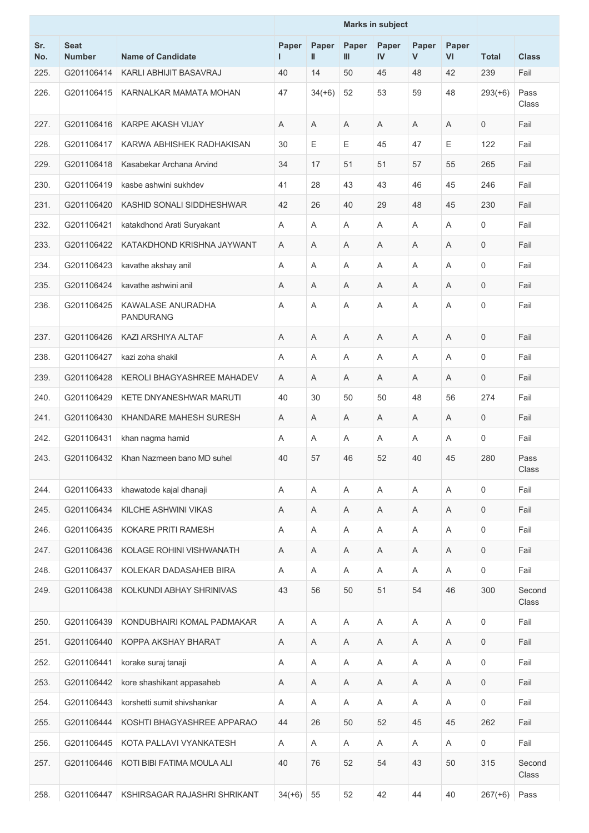|            |                              |                                       |            |            | <b>Marks in subject</b> |             |            |                |                     |                 |
|------------|------------------------------|---------------------------------------|------------|------------|-------------------------|-------------|------------|----------------|---------------------|-----------------|
| Sr.<br>No. | <b>Seat</b><br><b>Number</b> | <b>Name of Candidate</b>              | Paper<br>L | Paper<br>Ш | Paper<br>Ш              | Paper<br>IV | Paper<br>V | Paper<br>VI    | <b>Total</b>        | <b>Class</b>    |
| 225.       | G201106414                   | KARLI ABHIJIT BASAVRAJ                | 40         | 14         | 50                      | 45          | 48         | 42             | 239                 | Fail            |
| 226.       | G201106415                   | KARNALKAR MAMATA MOHAN                | 47         | $34(+6)$   | 52                      | 53          | 59         | 48             | $293(+6)$           | Pass<br>Class   |
| 227.       | G201106416                   | <b>KARPE AKASH VIJAY</b>              | Α          | Α          | A                       | Α           | A          | A              | 0                   | Fail            |
| 228.       | G201106417                   | KARWA ABHISHEK RADHAKISAN             | 30         | Е          | Е                       | 45          | 47         | E              | 122                 | Fail            |
| 229.       | G201106418                   | Kasabekar Archana Arvind              | 34         | 17         | 51                      | 51          | 57         | 55             | 265                 | Fail            |
| 230.       | G201106419                   | kasbe ashwini sukhdev                 | 41         | 28         | 43                      | 43          | 46         | 45             | 246                 | Fail            |
| 231.       | G201106420                   | KASHID SONALI SIDDHESHWAR             | 42         | 26         | 40                      | 29          | 48         | 45             | 230                 | Fail            |
| 232.       | G201106421                   | katakdhond Arati Suryakant            | Α          | Α          | Α                       | Α           | Α          | A              | 0                   | Fail            |
| 233.       | G201106422                   | KATAKDHOND KRISHNA JAYWANT            | Α          | A          | Α                       | A           | Α          | A              | $\mathbf 0$         | Fail            |
| 234.       | G201106423                   | kavathe akshay anil                   | A          | A          | A                       | A           | A          | $\overline{A}$ | $\mathbf 0$         | Fail            |
| 235.       | G201106424                   | kavathe ashwini anil                  | Α          | Α          | A                       | Α           | Α          | A              | 0                   | Fail            |
| 236.       | G201106425                   | KAWALASE ANURADHA<br><b>PANDURANG</b> | Α          | Α          | Α                       | A           | Α          | Α              | $\mathbf 0$         | Fail            |
| 237.       | G201106426                   | KAZI ARSHIYA ALTAF                    | A          | Α          | A                       | A           | A          | A              | $\mathsf{O}\xspace$ | Fail            |
| 238.       | G201106427                   | kazi zoha shakil                      | A          | Α          | A                       | A           | Α          | A              | 0                   | Fail            |
| 239.       | G201106428                   | KEROLI BHAGYASHREE MAHADEV            | Α          | Α          | A                       | A           | Α          | A              | $\mathbf 0$         | Fail            |
| 240.       | G201106429                   | KETE DNYANESHWAR MARUTI               | 40         | 30         | 50                      | 50          | 48         | 56             | 274                 | Fail            |
| 241.       | G201106430                   | KHANDARE MAHESH SURESH                | A          | Α          | Α                       | A           | Α          | A              | $\mathbf 0$         | Fail            |
| 242.       | G201106431                   | khan nagma hamid                      | Α          | Α          | Α                       | A           | Α          | A              | 0                   | Fail            |
| 243.       | G201106432                   | Khan Nazmeen bano MD suhel            | 40         | 57         | 46                      | 52          | 40         | 45             | 280                 | Pass<br>Class   |
| 244.       | G201106433                   | khawatode kajal dhanaji               | Α          | Α          | A                       | A           | Α          | A              | $\mathbf 0$         | Fail            |
| 245.       | G201106434                   | KILCHE ASHWINI VIKAS                  | Α          | Α          | Α                       | Α           | A          | Α              | $\mathbf 0$         | Fail            |
| 246.       | G201106435                   | KOKARE PRITI RAMESH                   | A          | Α          | A                       | A           | A          | A              | $\mathbf 0$         | Fail            |
| 247.       | G201106436                   | KOLAGE ROHINI VISHWANATH              | A          | Α          | Α                       | A           | A          | A              | $\mathbf 0$         | Fail            |
| 248.       | G201106437                   | KOLEKAR DADASAHEB BIRA                | A          | A          | A                       | A           | A          | A              | 0                   | Fail            |
| 249.       | G201106438                   | KOLKUNDI ABHAY SHRINIVAS              | 43         | 56         | 50                      | 51          | 54         | 46             | 300                 | Second<br>Class |
| 250.       | G201106439                   | KONDUBHAIRI KOMAL PADMAKAR            | A          | Α          | A                       | A           | A          | A              | $\mathsf{O}\xspace$ | Fail            |
| 251.       | G201106440                   | KOPPA AKSHAY BHARAT                   | Α          | A          | Α                       | Α           | Α          | Α              | $\mathbf 0$         | Fail            |
| 252.       | G201106441                   | korake suraj tanaji                   | A          | Α          | A                       | A           | A          | A              | $\mathbf 0$         | Fail            |
| 253.       | G201106442                   | kore shashikant appasaheb             | Α          | Α          | A                       | Α           | A          | A              | $\mathbf 0$         | Fail            |
| 254.       | G201106443                   | korshetti sumit shivshankar           | Α          | Α          | Α                       | Α           | Α          | Α              | 0                   | Fail            |
| 255.       | G201106444                   | KOSHTI BHAGYASHREE APPARAO            | 44         | 26         | 50                      | 52          | 45         | 45             | 262                 | Fail            |
| 256.       | G201106445                   | KOTA PALLAVI VYANKATESH               | A          | A          | A                       | A           | A          | A              | 0                   | Fail            |
| 257.       | G201106446                   | KOTI BIBI FATIMA MOULA ALI            | 40         | 76         | 52                      | 54          | 43         | 50             | 315                 | Second<br>Class |
| 258.       | G201106447                   | KSHIRSAGAR RAJASHRI SHRIKANT          | $34(+6)$   | 55         | 52                      | 42          | 44         | 40             | $267(+6)$           | Pass            |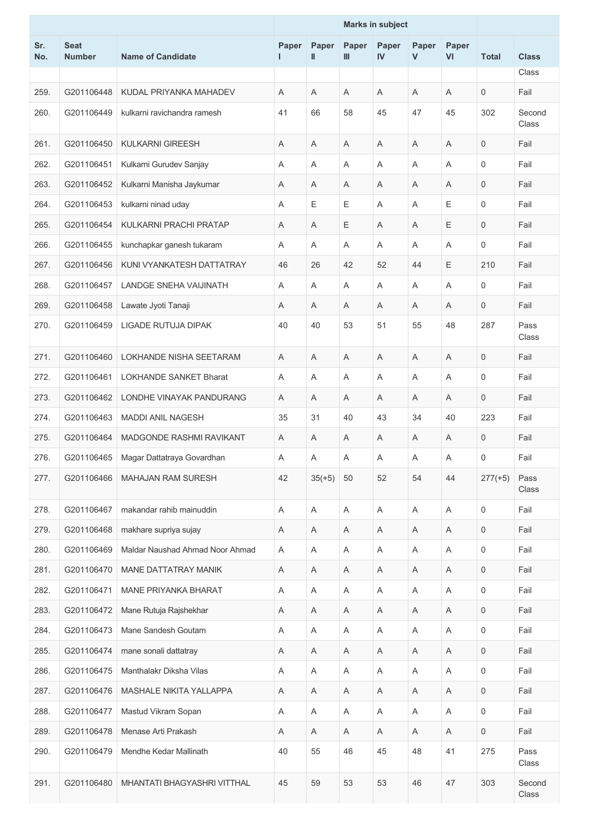|            |                              |                                 |            |            | <b>Marks in subject</b>   |             |             |                           |                     |                 |
|------------|------------------------------|---------------------------------|------------|------------|---------------------------|-------------|-------------|---------------------------|---------------------|-----------------|
| Sr.<br>No. | <b>Seat</b><br><b>Number</b> | <b>Name of Candidate</b>        | Paper<br>L | Paper<br>Ш | Paper<br>III              | Paper<br>IV | Paper<br>V  | Paper<br>VI               | <b>Total</b>        | <b>Class</b>    |
|            |                              |                                 |            |            |                           |             |             |                           |                     | Class           |
| 259.       | G201106448                   | KUDAL PRIYANKA MAHADEV          | A          | Α          | A                         | A           | Α           | A                         | $\mathbf 0$         | Fail            |
| 260.       | G201106449                   | kulkarni ravichandra ramesh     | 41         | 66         | 58                        | 45          | 47          | 45                        | 302                 | Second<br>Class |
| 261.       | G201106450                   | <b>KULKARNI GIREESH</b>         | Α          | Α          | Α                         | Α           | Α           | Α                         | $\mathsf{O}\xspace$ | Fail            |
| 262.       | G201106451                   | Kulkarni Gurudev Sanjay         | A          | Α          | $\mathsf A$               | A           | Α           | A                         | $\mathsf{O}\xspace$ | Fail            |
| 263.       | G201106452                   | Kulkarni Manisha Jaykumar       | A          | Α          | A                         | A           | A           | A                         | $\mathsf{O}\xspace$ | Fail            |
| 264.       | G201106453                   | kulkarni ninad uday             | Α          | Ε          | Е                         | A           | A           | Ε                         | $\mathbf 0$         | Fail            |
| 265.       | G201106454                   | KULKARNI PRACHI PRATAP          | A          | Α          | Ε                         | A           | Α           | Ε                         | $\mathsf{O}\xspace$ | Fail            |
| 266.       | G201106455                   | kunchapkar ganesh tukaram       | Α          | Α          | Α                         | A           | Α           | A                         | 0                   | Fail            |
| 267.       | G201106456                   | KUNI VYANKATESH DATTATRAY       | 46         | 26         | 42                        | 52          | 44          | Ε                         | 210                 | Fail            |
| 268.       | G201106457                   | <b>LANDGE SNEHA VAIJINATH</b>   | A          | Α          | Α                         | Α           | Α           | A                         | 0                   | Fail            |
| 269.       | G201106458                   | Lawate Jyoti Tanaji             | Α          | Α          | A                         | A           | A           | A                         | $\mathbf 0$         | Fail            |
| 270.       | G201106459                   | LIGADE RUTUJA DIPAK             | 40         | 40         | 53                        | 51          | 55          | 48                        | 287                 | Pass<br>Class   |
| 271.       | G201106460                   | LOKHANDE NISHA SEETARAM         | A          | Α          | Α                         | Α           | A           | Α                         | 0                   | Fail            |
| 272.       | G201106461                   | <b>LOKHANDE SANKET Bharat</b>   | A          | Α          | A                         | A           | Α           | A                         | $\mathbf 0$         | Fail            |
| 273.       | G201106462                   | LONDHE VINAYAK PANDURANG        | A          | Α          | A                         | A           | A           | A                         | $\mathbf 0$         | Fail            |
| 274.       | G201106463                   | MADDI ANIL NAGESH               | 35         | 31         | 40                        | 43          | 34          | 40                        | 223                 | Fail            |
| 275.       | G201106464                   | MADGONDE RASHMI RAVIKANT        | A          | Α          | A                         | A           | Α           | A                         | $\mathbf 0$         | Fail            |
| 276.       | G201106465                   | Magar Dattatraya Govardhan      | Α          | Α          | A                         | Α           | A           | A                         | 0                   | Fail            |
| 277.       | G201106466                   | MAHAJAN RAM SURESH              | 42         | $35(+5)$   | 50                        | 52          | 54          | 44                        | $277(+5)$           | Pass<br>Class   |
| 278.       | G201106467                   | makandar rahib mainuddin        | Α          | Α          | $\boldsymbol{\mathsf{A}}$ | A           | Α           | A                         | $\mathsf{O}\xspace$ | Fail            |
| 279.       | G201106468                   | makhare supriya sujay           | Α          | Α          | A                         | A           | A           | A                         | $\mathbf 0$         | Fail            |
| 280.       | G201106469                   | Maldar Naushad Ahmad Noor Ahmad | Α          | Α          | Α                         | A           | Α           | $\mathsf A$               | $\mathsf{O}\xspace$ | Fail            |
| 281.       | G201106470                   | <b>MANE DATTATRAY MANIK</b>     | Α          | A          | Α                         | Α           | A           | Α                         | $\mathbf 0$         | Fail            |
| 282.       | G201106471                   | MANE PRIYANKA BHARAT            | Α          | A          | Α                         | Α           | Α           | $\boldsymbol{\mathsf{A}}$ | $\mathbf 0$         | Fail            |
| 283.       | G201106472                   | Mane Rutuja Rajshekhar          | Α          | Α          | Α                         | Α           | Α           | Α                         | $\mathsf{O}$        | Fail            |
| 284.       | G201106473                   | Mane Sandesh Goutam             | Α          | A          | Α                         | A           | A           | Α                         | 0                   | Fail            |
| 285.       | G201106474                   | mane sonali dattatray           | Α          | A          | Α                         | A           | $\mathsf A$ | $\mathsf A$               | $\mathsf{O}\xspace$ | Fail            |
| 286.       | G201106475                   | Manthalakr Diksha Vilas         | Α          | Α          | A                         | Α           | Α           | Α                         | $\mathbf 0$         | Fail            |
| 287.       | G201106476                   | MASHALE NIKITA YALLAPPA         | Α          | A          | Α                         | Α           | A           | Α                         | $\mathsf{O}$        | Fail            |
| 288.       | G201106477                   | Mastud Vikram Sopan             | Α          | Α          | $\boldsymbol{\mathsf{A}}$ | A           | Α           | $\boldsymbol{\mathsf{A}}$ | $\mathsf{O}$        | Fail            |
| 289.       | G201106478                   | Menase Arti Prakash             | Α          | A          | A                         | A           | A           | A                         | $\mathsf{O}$        | Fail            |
| 290.       | G201106479                   | Mendhe Kedar Mallinath          | 40         | 55         | 46                        | 45          | 48          | 41                        | 275                 | Pass<br>Class   |
| 291.       | G201106480                   | MHANTATI BHAGYASHRI VITTHAL     | 45         | 59         | 53                        | 53          | 46          | 47                        | 303                 | Second<br>Class |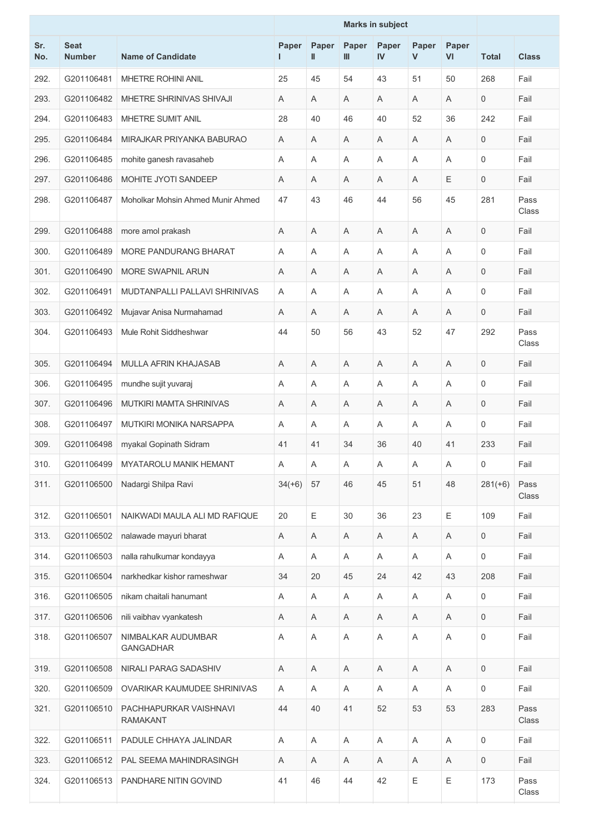|            |                              |                                           |            |            | <b>Marks in subject</b> |                       |             |             |                     |               |
|------------|------------------------------|-------------------------------------------|------------|------------|-------------------------|-----------------------|-------------|-------------|---------------------|---------------|
| Sr.<br>No. | <b>Seat</b><br><b>Number</b> | <b>Name of Candidate</b>                  | Paper<br>L | Paper<br>Ш | Paper<br>Ш              | Paper<br>$\mathbf{N}$ | Paper<br>V  | Paper<br>VI | <b>Total</b>        | <b>Class</b>  |
| 292.       | G201106481                   | <b>MHETRE ROHINI ANIL</b>                 | 25         | 45         | 54                      | 43                    | 51          | 50          | 268                 | Fail          |
| 293.       | G201106482                   | MHETRE SHRINIVAS SHIVAJI                  | A          | Α          | A                       | A                     | A           | A           | $\mathbf 0$         | Fail          |
| 294.       | G201106483                   | <b>MHETRE SUMIT ANIL</b>                  | 28         | 40         | 46                      | 40                    | 52          | 36          | 242                 | Fail          |
| 295.       | G201106484                   | MIRAJKAR PRIYANKA BABURAO                 | A          | Α          | Α                       | A                     | Α           | A           | $\mathbf 0$         | Fail          |
| 296.       | G201106485                   | mohite ganesh ravasaheb                   | A          | Α          | A                       | A                     | A           | A           | $\mathbf 0$         | Fail          |
| 297.       | G201106486                   | MOHITE JYOTI SANDEEP                      | Α          | Α          | A                       | A                     | A           | E           | $\mathbf 0$         | Fail          |
| 298.       | G201106487                   | Moholkar Mohsin Ahmed Munir Ahmed         | 47         | 43         | 46                      | 44                    | 56          | 45          | 281                 | Pass<br>Class |
| 299.       | G201106488                   | more amol prakash                         | A          | Α          | A                       | A                     | A           | Α           | $\mathbf 0$         | Fail          |
| 300.       | G201106489                   | MORE PANDURANG BHARAT                     | Α          | Α          | A                       | A                     | Α           | A           | 0                   | Fail          |
| 301.       | G201106490                   | <b>MORE SWAPNIL ARUN</b>                  | A          | Α          | Α                       | A                     | A           | A           | $\mathbf 0$         | Fail          |
| 302.       | G201106491                   | MUDTANPALLI PALLAVI SHRINIVAS             | Α          | Α          | A                       | A                     | Α           | Α           | 0                   | Fail          |
| 303.       | G201106492                   | Mujavar Anisa Nurmahamad                  | A          | Α          | Α                       | A                     | A           | A           | $\mathbf 0$         | Fail          |
| 304.       | G201106493                   | Mule Rohit Siddheshwar                    | 44         | 50         | 56                      | 43                    | 52          | 47          | 292                 | Pass<br>Class |
| 305.       | G201106494                   | <b>MULLA AFRIN KHAJASAB</b>               | A          | Α          | A                       | A                     | A           | A           | $\mathbf 0$         | Fail          |
| 306.       | G201106495                   | mundhe sujit yuvaraj                      | A          | A          | A                       | A                     | A           | A           | $\mathbf 0$         | Fail          |
| 307.       | G201106496                   | MUTKIRI MAMTA SHRINIVAS                   | Α          | Α          | Α                       | A                     | Α           | Α           | 0                   | Fail          |
| 308.       | G201106497                   | MUTKIRI MONIKA NARSAPPA                   | Α          | Α          | A                       | A                     | Α           | A           | 0                   | Fail          |
| 309.       | G201106498                   | myakal Gopinath Sidram                    | 41         | 41         | 34                      | 36                    | 40          | 41          | 233                 | Fail          |
| 310.       | G201106499                   | <b>MYATAROLU MANIK HEMANT</b>             | Α          | Α          | Α                       | A                     | Α           | Α           | 0                   | Fail          |
| 311.       | G201106500                   | Nadargi Shilpa Ravi                       | $34(+6)$   | 57         | 46                      | 45                    | 51          | 48          | $281(+6)$           | Pass<br>Class |
| 312.       | G201106501                   | NAIKWADI MAULA ALI MD RAFIQUE             | 20         | E          | 30                      | 36                    | 23          | E           | 109                 | Fail          |
| 313.       | G201106502                   | nalawade mayuri bharat                    | Α          | Α          | A                       | A                     | A           | A           | $\mathbf 0$         | Fail          |
| 314.       | G201106503                   | nalla rahulkumar kondayya                 | A          | Α          | A                       | A                     | A           | A           | $\mathsf{O}$        | Fail          |
| 315.       | G201106504                   | narkhedkar kishor rameshwar               | 34         | 20         | 45                      | 24                    | 42          | 43          | 208                 | Fail          |
| 316.       | G201106505                   | nikam chaitali hanumant                   | Α          | Α          | Α                       | Α                     | A           | Α           | $\mathbf 0$         | Fail          |
| 317.       | G201106506                   | nili vaibhav vyankatesh                   | Α          | A          | A                       | A                     | A           | A           | $\mathsf{O}$        | Fail          |
| 318.       | G201106507                   | NIMBALKAR AUDUMBAR<br><b>GANGADHAR</b>    | Α          | Α          | $\mathsf A$             | A                     | Α           | A           | $\mathsf{O}\xspace$ | Fail          |
| 319.       | G201106508                   | NIRALI PARAG SADASHIV                     | Α          | A          | A                       | A                     | Α           | Α           | $\mathsf{O}$        | Fail          |
| 320.       | G201106509                   | OVARIKAR KAUMUDEE SHRINIVAS               | Α          | A          | Α                       | Α                     | A           | Α           | $\mathsf{O}\xspace$ | Fail          |
| 321.       | G201106510                   | PACHHAPURKAR VAISHNAVI<br><b>RAMAKANT</b> | 44         | 40         | 41                      | 52                    | 53          | 53          | 283                 | Pass<br>Class |
| 322.       | G201106511                   | PADULE CHHAYA JALINDAR                    | A          | Α          | $\mathsf A$             | A                     | A           | A           | $\mathsf{O}$        | Fail          |
| 323.       | G201106512                   | PAL SEEMA MAHINDRASINGH                   | Α          | A          | A                       | A                     | A           | A           | $\mathbf 0$         | Fail          |
| 324.       | G201106513                   | PANDHARE NITIN GOVIND                     | 41         | 46         | 44                      | 42                    | $\mathsf E$ | Ε           | 173                 | Pass<br>Class |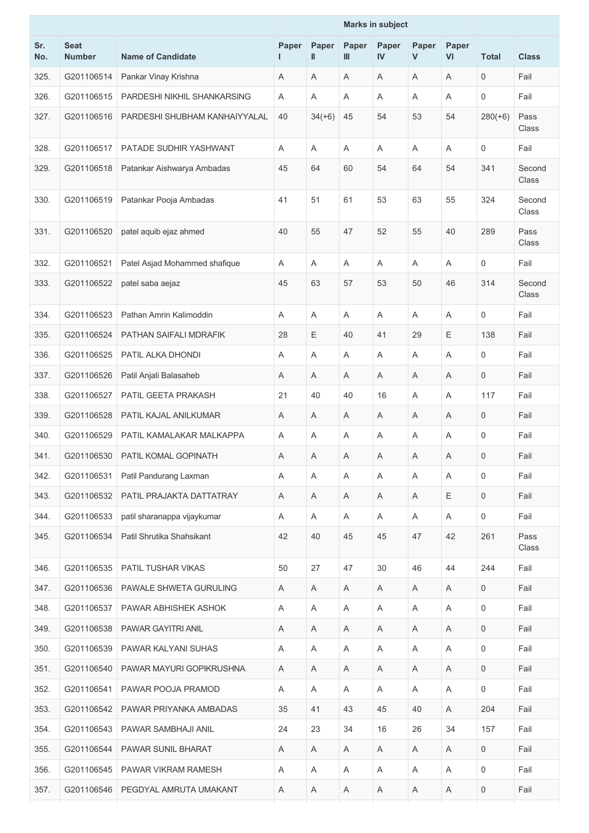|            |                              |                               |       |                                                                                                                                                                                                                                                                                                                                                                                                                                                                       |                         | <b>Marks in subject</b> |                       |             |              |                 |
|------------|------------------------------|-------------------------------|-------|-----------------------------------------------------------------------------------------------------------------------------------------------------------------------------------------------------------------------------------------------------------------------------------------------------------------------------------------------------------------------------------------------------------------------------------------------------------------------|-------------------------|-------------------------|-----------------------|-------------|--------------|-----------------|
| Sr.<br>No. | <b>Seat</b><br><b>Number</b> | <b>Name of Candidate</b>      | Paper | Paper<br>$\mathop{  }% \mathop{  } \mathop{  } \mathop{  }% \mathop{  } \mathop{  } \mathop{  } \mathop{  } \mathop{  } \mathop{  } \mathop{  } \mathop{  } \mathop{  } \mathop{  } \mathop{  } \mathop{  } \mathop{  } \mathop{  } \mathop{  } \mathop{  } \mathop{  } \mathop{  } \mathop{  } \mathop{  } \mathop{  } \mathop{  } \mathop{  } \mathop{  } \mathop{  } \mathop{  } \mathop{  } \mathop{  } \mathop{  } \mathop{  } \mathop{  } \mathop{  } \mathop{$ | Paper<br>$\mathbf{III}$ | Paper<br><b>IV</b>      | Paper<br>$\mathsf{V}$ | Paper<br>VI | <b>Total</b> | <b>Class</b>    |
| 325.       | G201106514                   | Pankar Vinay Krishna          | Α     | Α                                                                                                                                                                                                                                                                                                                                                                                                                                                                     | Α                       | Α                       | Α                     | $\mathsf A$ | 0            | Fail            |
| 326.       | G201106515                   | PARDESHI NIKHIL SHANKARSING   | A     | A                                                                                                                                                                                                                                                                                                                                                                                                                                                                     | A                       | Α                       | A                     | A           | 0            | Fail            |
| 327.       | G201106516                   | PARDESHI SHUBHAM KANHAIYYALAL | 40    | $34(+6)$                                                                                                                                                                                                                                                                                                                                                                                                                                                              | 45                      | 54                      | 53                    | 54          | $280(+6)$    | Pass<br>Class   |
| 328.       | G201106517                   | PATADE SUDHIR YASHWANT        | A     | A                                                                                                                                                                                                                                                                                                                                                                                                                                                                     | Α                       | Α                       | A                     | A           | 0            | Fail            |
| 329.       | G201106518                   | Patankar Aishwarya Ambadas    | 45    | 64                                                                                                                                                                                                                                                                                                                                                                                                                                                                    | 60                      | 54                      | 64                    | 54          | 341          | Second<br>Class |
| 330.       | G201106519                   | Patankar Pooja Ambadas        | 41    | 51                                                                                                                                                                                                                                                                                                                                                                                                                                                                    | 61                      | 53                      | 63                    | 55          | 324          | Second<br>Class |
| 331.       | G201106520                   | patel aquib ejaz ahmed        | 40    | 55                                                                                                                                                                                                                                                                                                                                                                                                                                                                    | 47                      | 52                      | 55                    | 40          | 289          | Pass<br>Class   |
| 332.       | G201106521                   | Patel Asjad Mohammed shafique | A     | A                                                                                                                                                                                                                                                                                                                                                                                                                                                                     | A                       | Α                       | A                     | A           | 0            | Fail            |
| 333.       | G201106522                   | patel saba aejaz              | 45    | 63                                                                                                                                                                                                                                                                                                                                                                                                                                                                    | 57                      | 53                      | 50                    | 46          | 314          | Second<br>Class |
| 334.       | G201106523                   | Pathan Amrin Kalimoddin       | A     | Α                                                                                                                                                                                                                                                                                                                                                                                                                                                                     | Α                       | Α                       | A                     | A           | 0            | Fail            |
| 335.       | G201106524                   | PATHAN SAIFALI MDRAFIK        | 28    | Ε                                                                                                                                                                                                                                                                                                                                                                                                                                                                     | 40                      | 41                      | 29                    | Ε           | 138          | Fail            |
| 336.       | G201106525                   | PATIL ALKA DHONDI             | A     | A                                                                                                                                                                                                                                                                                                                                                                                                                                                                     | Α                       | Α                       | A                     | A           | 0            | Fail            |
| 337.       | G201106526                   | Patil Anjali Balasaheb        | A     | A                                                                                                                                                                                                                                                                                                                                                                                                                                                                     | Α                       | Α                       | A                     | Α           | 0            | Fail            |
| 338.       | G201106527                   | PATIL GEETA PRAKASH           | 21    | 40                                                                                                                                                                                                                                                                                                                                                                                                                                                                    | 40                      | 16                      | A                     | A           | 117          | Fail            |
| 339.       | G201106528                   | PATIL KAJAL ANILKUMAR         | Α     | A                                                                                                                                                                                                                                                                                                                                                                                                                                                                     | Α                       | Α                       | Α                     | Α           | 0            | Fail            |
| 340.       | G201106529                   | PATIL KAMALAKAR MALKAPPA      | A     | A                                                                                                                                                                                                                                                                                                                                                                                                                                                                     | Α                       | Α                       | Α                     | A           | 0            | Fail            |
| 341.       | G201106530                   | PATIL KOMAL GOPINATH          | Α     | Α                                                                                                                                                                                                                                                                                                                                                                                                                                                                     | A                       | Α                       | A                     | Α           | 0            | Fail            |
| 342.       | G201106531                   | Patil Pandurang Laxman        | A     | Α                                                                                                                                                                                                                                                                                                                                                                                                                                                                     | Α                       | A                       | A                     | Α           | 0            | Fail            |
| 343.       | G201106532                   | PATIL PRAJAKTA DATTATRAY      | Α     | Α                                                                                                                                                                                                                                                                                                                                                                                                                                                                     | Α                       | Α                       | A                     | Ε           | 0            | Fail            |
| 344.       | G201106533                   | patil sharanappa vijaykumar   | A     | A                                                                                                                                                                                                                                                                                                                                                                                                                                                                     | A                       | Α                       | Α                     | A           | 0            | Fail            |
| 345.       | G201106534                   | Patil Shrutika Shahsikant     | 42    | 40                                                                                                                                                                                                                                                                                                                                                                                                                                                                    | 45                      | 45                      | 47                    | 42          | 261          | Pass<br>Class   |
| 346.       | G201106535                   | PATIL TUSHAR VIKAS            | 50    | 27                                                                                                                                                                                                                                                                                                                                                                                                                                                                    | 47                      | 30                      | 46                    | 44          | 244          | Fail            |
| 347.       | G201106536                   | PAWALE SHWETA GURULING        | A     | Α                                                                                                                                                                                                                                                                                                                                                                                                                                                                     | Α                       | Α                       | A                     | Α           | 0            | Fail            |
| 348.       | G201106537                   | PAWAR ABHISHEK ASHOK          | Α     | A                                                                                                                                                                                                                                                                                                                                                                                                                                                                     | Α                       | Α                       | A                     | A           | 0            | Fail            |
| 349.       | G201106538                   | PAWAR GAYITRI ANIL            | A     | A                                                                                                                                                                                                                                                                                                                                                                                                                                                                     | Α                       | A                       | Α                     | A           | 0            | Fail            |
| 350.       | G201106539                   | PAWAR KALYANI SUHAS           | Α     | Α                                                                                                                                                                                                                                                                                                                                                                                                                                                                     | Α                       | A                       | Α                     | Α           | 0            | Fail            |
| 351.       | G201106540                   | PAWAR MAYURI GOPIKRUSHNA      | Α     | Α                                                                                                                                                                                                                                                                                                                                                                                                                                                                     | Α                       | Α                       | Α                     | Α           | 0            | Fail            |
| 352.       | G201106541                   | PAWAR POOJA PRAMOD            | A     | A                                                                                                                                                                                                                                                                                                                                                                                                                                                                     | A                       | A                       | A                     | Α           | 0            | Fail            |
| 353.       | G201106542                   | PAWAR PRIYANKA AMBADAS        | 35    | 41                                                                                                                                                                                                                                                                                                                                                                                                                                                                    | 43                      | 45                      | 40                    | A           | 204          | Fail            |
| 354.       | G201106543                   | PAWAR SAMBHAJI ANIL           | 24    | 23                                                                                                                                                                                                                                                                                                                                                                                                                                                                    | 34                      | 16                      | 26                    | 34          | 157          | Fail            |
| 355.       | G201106544                   | PAWAR SUNIL BHARAT            | A     | Α                                                                                                                                                                                                                                                                                                                                                                                                                                                                     | A                       | A                       | A                     | Α           | 0            | Fail            |
| 356.       | G201106545                   | PAWAR VIKRAM RAMESH           | Α     | Α                                                                                                                                                                                                                                                                                                                                                                                                                                                                     | Α                       | Α                       | A                     | $\mathsf A$ | 0            | Fail            |
| 357.       | G201106546                   | PEGDYAL AMRUTA UMAKANT        | A     | Α                                                                                                                                                                                                                                                                                                                                                                                                                                                                     | A                       | A                       | A                     | Α           | 0            | Fail            |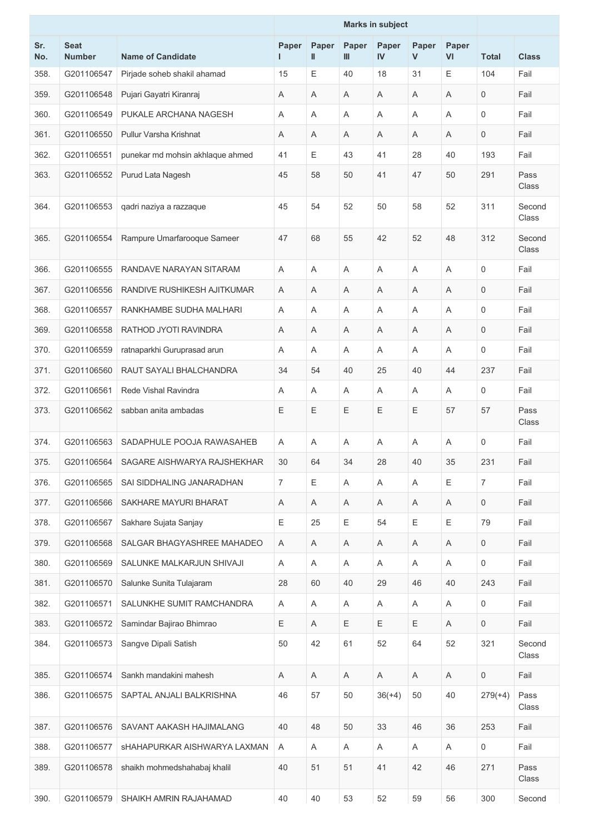|            |                              |                                  |                |            | <b>Marks in subject</b> |             |            |             |                     |                 |
|------------|------------------------------|----------------------------------|----------------|------------|-------------------------|-------------|------------|-------------|---------------------|-----------------|
| Sr.<br>No. | <b>Seat</b><br><b>Number</b> | <b>Name of Candidate</b>         | Paper<br>L     | Paper<br>Ш | Paper<br>Ш              | Paper<br>IV | Paper<br>V | Paper<br>VI | <b>Total</b>        | <b>Class</b>    |
| 358.       | G201106547                   | Pirjade soheb shakil ahamad      | 15             | Е          | 40                      | 18          | 31         | Е           | 104                 | Fail            |
| 359.       | G201106548                   | Pujari Gayatri Kiranraj          | Α              | Α          | Α                       | Α           | Α          | Α           | 0                   | Fail            |
| 360.       | G201106549                   | PUKALE ARCHANA NAGESH            | Α              | Α          | Α                       | A           | Α          | A           | 0                   | Fail            |
| 361.       | G201106550                   | Pullur Varsha Krishnat           | A              | Α          | A                       | A           | A          | A           | 0                   | Fail            |
| 362.       | G201106551                   | punekar md mohsin akhlaque ahmed | 41             | Е          | 43                      | 41          | 28         | 40          | 193                 | Fail            |
| 363.       | G201106552                   | Purud Lata Nagesh                | 45             | 58         | 50                      | 41          | 47         | 50          | 291                 | Pass<br>Class   |
| 364.       | G201106553                   | qadri naziya a razzaque          | 45             | 54         | 52                      | 50          | 58         | 52          | 311                 | Second<br>Class |
| 365.       | G201106554                   | Rampure Umarfarooque Sameer      | 47             | 68         | 55                      | 42          | 52         | 48          | 312                 | Second<br>Class |
| 366.       | G201106555                   | RANDAVE NARAYAN SITARAM          | A              | A          | Α                       | A           | Α          | Α           | 0                   | Fail            |
| 367.       | G201106556                   | RANDIVE RUSHIKESH AJITKUMAR      | Α              | Α          | Α                       | Α           | Α          | A           | $\mathbf 0$         | Fail            |
| 368.       | G201106557                   | RANKHAMBE SUDHA MALHARI          | Α              | Α          | Α                       | Α           | Α          | A           | 0                   | Fail            |
| 369.       | G201106558                   | RATHOD JYOTI RAVINDRA            | A              | Α          | Α                       | A           | Α          | A           | 0                   | Fail            |
| 370.       | G201106559                   | ratnaparkhi Guruprasad arun      | Α              | Α          | Α                       | A           | A          | A           | 0                   | Fail            |
| 371.       | G201106560                   | RAUT SAYALI BHALCHANDRA          | 34             | 54         | 40                      | 25          | 40         | 44          | 237                 | Fail            |
| 372.       | G201106561                   | Rede Vishal Ravindra             | Α              | Α          | Α                       | Α           | A          | A           | 0                   | Fail            |
| 373.       | G201106562                   | sabban anita ambadas             | Ε              | Ε          | Ε                       | Е           | Ε          | 57          | 57                  | Pass<br>Class   |
| 374.       | G201106563                   | SADAPHULE POOJA RAWASAHEB        | Α              | Α          | Α                       | A           | Α          | A           | 0                   | Fail            |
| 375.       | G201106564                   | SAGARE AISHWARYA RAJSHEKHAR      | 30             | 64         | 34                      | 28          | 40         | 35          | 231                 | Fail            |
| 376.       | G201106565                   | SAI SIDDHALING JANARADHAN        | $\overline{7}$ | Е          | A                       | A           | Α          | Ε           | $\overline{7}$      | Fail            |
| 377.       | G201106566                   | SAKHARE MAYURI BHARAT            | Α              | Α          | Α                       | Α           | A          | Α           | $\mathbf 0$         | Fail            |
| 378.       | G201106567                   | Sakhare Sujata Sanjay            | Ε              | 25         | Ε                       | 54          | Ε          | E           | 79                  | Fail            |
| 379.       | G201106568                   | SALGAR BHAGYASHREE MAHADEO       | Α              | Α          | Α                       | A           | Α          | A           | $\mathsf{O}\xspace$ | Fail            |
| 380.       | G201106569                   | SALUNKE MALKARJUN SHIVAJI        | A              | A          | Α                       | A           | A          | Α           | $\mathbf 0$         | Fail            |
| 381.       | G201106570                   | Salunke Sunita Tulajaram         | 28             | 60         | 40                      | 29          | 46         | 40          | 243                 | Fail            |
| 382.       | G201106571                   | SALUNKHE SUMIT RAMCHANDRA        | Α              | Α          | Α                       | Α           | A          | A           | $\mathbf 0$         | Fail            |
| 383.       | G201106572                   | Samindar Bajirao Bhimrao         | Ε              | A          | Ε                       | E           | Ε          | A           | $\mathbf 0$         | Fail            |
| 384.       | G201106573                   | Sangve Dipali Satish             | 50             | 42         | 61                      | 52          | 64         | 52          | 321                 | Second<br>Class |
| 385.       | G201106574                   | Sankh mandakini mahesh           | Α              | A          | A                       | A           | A          | A           | $\mathbf 0$         | Fail            |
| 386.       | G201106575                   | SAPTAL ANJALI BALKRISHNA         | 46             | 57         | 50                      | $36(+4)$    | 50         | 40          | $279(+4)$           | Pass<br>Class   |
| 387.       | G201106576                   | SAVANT AAKASH HAJIMALANG         | 40             | 48         | 50                      | 33          | 46         | 36          | 253                 | Fail            |
| 388.       | G201106577                   | SHAHAPURKAR AISHWARYA LAXMAN     | A              | A          | Α                       | Α           | A          | A           | $\mathbf 0$         | Fail            |
| 389.       | G201106578                   | shaikh mohmedshahabaj khalil     | 40             | 51         | 51                      | 41          | 42         | 46          | 271                 | Pass<br>Class   |
| 390.       | G201106579                   | SHAIKH AMRIN RAJAHAMAD           | 40             | 40         | 53                      | 52          | 59         | 56          | 300                 | Second          |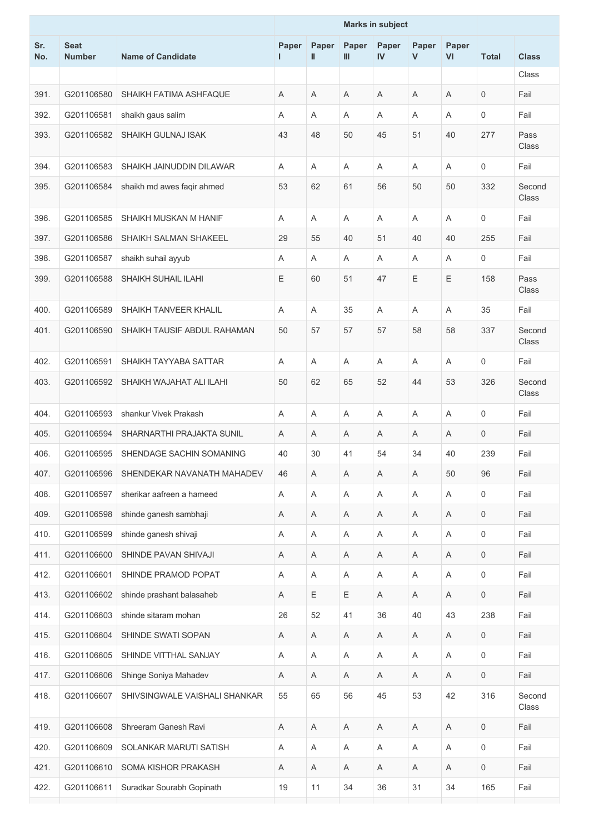|            |                              |                               | <b>Marks in subject</b> |             |             |             |            |                           |                     |                 |
|------------|------------------------------|-------------------------------|-------------------------|-------------|-------------|-------------|------------|---------------------------|---------------------|-----------------|
| Sr.<br>No. | <b>Seat</b><br><b>Number</b> | <b>Name of Candidate</b>      | Paper<br>I.             | Paper<br>Ш  | Paper<br>Ш  | Paper<br>IV | Paper<br>V | Paper<br>VI               | <b>Total</b>        | <b>Class</b>    |
|            |                              |                               |                         |             |             |             |            |                           |                     | Class           |
| 391.       | G201106580                   | SHAIKH FATIMA ASHFAQUE        | A                       | Α           | A           | Α           | A          | A                         | $\mathbf 0$         | Fail            |
| 392.       | G201106581                   | shaikh gaus salim             | Α                       | Α           | Α           | A           | Α          | A                         | $\mathbf 0$         | Fail            |
| 393.       | G201106582                   | <b>SHAIKH GULNAJ ISAK</b>     | 43                      | 48          | 50          | 45          | 51         | 40                        | 277                 | Pass<br>Class   |
| 394.       | G201106583                   | SHAIKH JAINUDDIN DILAWAR      | A                       | A           | A           | A           | Α          | A                         | 0                   | Fail            |
| 395.       | G201106584                   | shaikh md awes faqir ahmed    | 53                      | 62          | 61          | 56          | 50         | 50                        | 332                 | Second<br>Class |
| 396.       | G201106585                   | SHAIKH MUSKAN M HANIF         | Α                       | A           | A           | A           | A          | A                         | $\mathbf 0$         | Fail            |
| 397.       | G201106586                   | SHAIKH SALMAN SHAKEEL         | 29                      | 55          | 40          | 51          | 40         | 40                        | 255                 | Fail            |
| 398.       | G201106587                   | shaikh suhail ayyub           | A                       | Α           | A           | A           | Α          | A                         | $\mathbf 0$         | Fail            |
| 399.       | G201106588                   | <b>SHAIKH SUHAIL ILAHI</b>    | E                       | 60          | 51          | 47          | Ε          | E                         | 158                 | Pass<br>Class   |
| 400.       | G201106589                   | SHAIKH TANVEER KHALIL         | A                       | Α           | 35          | A           | Α          | A                         | 35                  | Fail            |
| 401.       | G201106590                   | SHAIKH TAUSIF ABDUL RAHAMAN   | 50                      | 57          | 57          | 57          | 58         | 58                        | 337                 | Second<br>Class |
| 402.       | G201106591                   | SHAIKH TAYYABA SATTAR         | Α                       | Α           | A           | A           | Α          | A                         | $\mathbf 0$         | Fail            |
| 403.       | G201106592                   | SHAIKH WAJAHAT ALI ILAHI      | 50                      | 62          | 65          | 52          | 44         | 53                        | 326                 | Second<br>Class |
| 404.       | G201106593                   | shankur Vivek Prakash         | A                       | A           | A           | A           | A          | A                         | $\mathbf 0$         | Fail            |
| 405.       | G201106594                   | SHARNARTHI PRAJAKTA SUNIL     | A                       | Α           | A           | Α           | A          | A                         | 0                   | Fail            |
| 406.       | G201106595                   | SHENDAGE SACHIN SOMANING      | 40                      | 30          | 41          | 54          | 34         | 40                        | 239                 | Fail            |
| 407.       | G201106596                   | SHENDEKAR NAVANATH MAHADEV    | 46                      | A           | A           | Α           | A          | 50                        | 96                  | Fail            |
| 408.       | G201106597                   | sherikar aafreen a hameed     | Α                       | A           | $\mathsf A$ | Α           | A          | $\boldsymbol{\mathsf{A}}$ | $\mathbf 0$         | Fail            |
| 409.       | G201106598                   | shinde ganesh sambhaji        | Α                       | Α           | Α           | Α           | A          | A                         | $\mathbf 0$         | Fail            |
| 410.       | G201106599                   | shinde ganesh shivaji         | Α                       | Α           | A           | Α           | Α          | A                         | 0                   | Fail            |
| 411.       | G201106600                   | SHINDE PAVAN SHIVAJI          | Α                       | $\mathsf A$ | Α           | Α           | Α          | $\mathsf A$               | $\mathsf{O}\xspace$ | Fail            |
| 412.       | G201106601                   | SHINDE PRAMOD POPAT           | Α                       | Α           | Α           | Α           | Α          | A                         | $\mathbf 0$         | Fail            |
| 413.       | G201106602                   | shinde prashant balasaheb     | Α                       | Ε           | Ε           | Α           | A          | A                         | $\mathbf 0$         | Fail            |
| 414.       | G201106603                   | shinde sitaram mohan          | 26                      | 52          | 41          | 36          | 40         | 43                        | 238                 | Fail            |
| 415.       | G201106604                   | SHINDE SWATI SOPAN            | Α                       | Α           | Α           | A           | Α          | Α                         | $\mathbf 0$         | Fail            |
| 416.       | G201106605                   | SHINDE VITTHAL SANJAY         | Α                       | $\mathsf A$ | Α           | Α           | Α          | $\mathsf A$               | $\mathsf{O}\xspace$ | Fail            |
| 417.       | G201106606                   | Shinge Soniya Mahadev         | Α                       | A           | Α           | A           | A          | A                         | $\mathsf{O}\xspace$ | Fail            |
| 418.       | G201106607                   | SHIVSINGWALE VAISHALI SHANKAR | 55                      | 65          | 56          | 45          | 53         | 42                        | 316                 | Second<br>Class |
| 419.       | G201106608                   | Shreeram Ganesh Ravi          | Α                       | Α           | $\mathsf A$ | $\mathsf A$ | Α          | A                         | $\mathsf{O}\xspace$ | Fail            |
| 420.       | G201106609                   | SOLANKAR MARUTI SATISH        | Α                       | A           | Α           | Α           | A          | A                         | $\mathsf{O}\xspace$ | Fail            |
| 421.       | G201106610                   | SOMA KISHOR PRAKASH           | A                       | A           | Α           | A           | A          | A                         | $\mathsf{O}\xspace$ | Fail            |
| 422.       | G201106611                   | Suradkar Sourabh Gopinath     | 19                      | 11          | 34          | 36          | 31         | 34                        | 165                 | Fail            |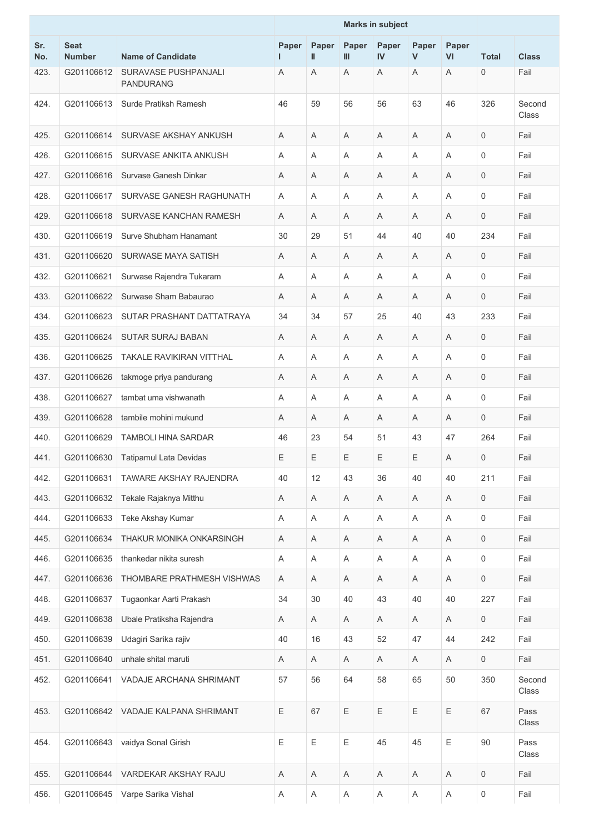|            |                              |                                          |            | <b>Marks in subject</b> |             |             |            |                           |                     |                 |
|------------|------------------------------|------------------------------------------|------------|-------------------------|-------------|-------------|------------|---------------------------|---------------------|-----------------|
| Sr.<br>No. | <b>Seat</b><br><b>Number</b> | <b>Name of Candidate</b>                 | Paper<br>L | Paper<br>Ш              | Paper<br>Ш  | Paper<br>IV | Paper<br>V | Paper<br>VI               | <b>Total</b>        | <b>Class</b>    |
| 423.       | G201106612                   | SURAVASE PUSHPANJALI<br><b>PANDURANG</b> | Α          | Α                       | Α           | A           | Α          | A                         | $\mathbf 0$         | Fail            |
| 424.       | G201106613                   | Surde Pratiksh Ramesh                    | 46         | 59                      | 56          | 56          | 63         | 46                        | 326                 | Second<br>Class |
| 425.       | G201106614                   | SURVASE AKSHAY ANKUSH                    | A          | A                       | A           | A           | A          | A                         | $\mathbf 0$         | Fail            |
| 426.       | G201106615                   | SURVASE ANKITA ANKUSH                    | Α          | Α                       | A           | A           | Α          | A                         | 0                   | Fail            |
| 427.       | G201106616                   | Survase Ganesh Dinkar                    | Α          | Α                       | Α           | A           | Α          | A                         | $\mathbf 0$         | Fail            |
| 428.       | G201106617                   | SURVASE GANESH RAGHUNATH                 | A          | A                       | A           | A           | Α          | A                         | $\mathbf 0$         | Fail            |
| 429.       | G201106618                   | SURVASE KANCHAN RAMESH                   | Α          | Α                       | Α           | A           | Α          | A                         | $\mathbf 0$         | Fail            |
| 430.       | G201106619                   | Surve Shubham Hanamant                   | 30         | 29                      | 51          | 44          | 40         | 40                        | 234                 | Fail            |
| 431.       | G201106620                   | SURWASE MAYA SATISH                      | Α          | Α                       | Α           | A           | Α          | Α                         | $\mathbf 0$         | Fail            |
| 432.       | G201106621                   | Surwase Rajendra Tukaram                 | A          | A                       | A           | A           | Α          | A                         | 0                   | Fail            |
| 433.       | G201106622                   | Surwase Sham Babaurao                    | Α          | Α                       | Α           | A           | Α          | A                         | 0                   | Fail            |
| 434.       | G201106623                   | SUTAR PRASHANT DATTATRAYA                | 34         | 34                      | 57          | 25          | 40         | 43                        | 233                 | Fail            |
| 435.       | G201106624                   | <b>SUTAR SURAJ BABAN</b>                 | A          | Α                       | A           | A           | A          | A                         | $\mathbf 0$         | Fail            |
| 436.       | G201106625                   | <b>TAKALE RAVIKIRAN VITTHAL</b>          | Α          | Α                       | Α           | A           | Α          | A                         | 0                   | Fail            |
| 437.       | G201106626                   | takmoge priya pandurang                  | Α          | Α                       | Α           | A           | Α          | A                         | $\mathbf 0$         | Fail            |
| 438.       | G201106627                   | tambat uma vishwanath                    | A          | A                       | A           | A           | Α          | $\overline{A}$            | $\mathbf 0$         | Fail            |
| 439.       | G201106628                   | tambile mohini mukund                    | Α          | Α                       | Α           | Α           | A          | A                         | $\mathbf 0$         | Fail            |
| 440.       | G201106629                   | <b>TAMBOLI HINA SARDAR</b>               | 46         | 23                      | 54          | 51          | 43         | 47                        | 264                 | Fail            |
| 441.       | G201106630                   | <b>Tatipamul Lata Devidas</b>            | E          | Е                       | Ε           | Ε           | Ε          | Α                         | $\mathbf 0$         | Fail            |
| 442.       | G201106631                   | TAWARE AKSHAY RAJENDRA                   | 40         | 12                      | 43          | 36          | 40         | 40                        | 211                 | Fail            |
| 443.       | G201106632                   | Tekale Rajaknya Mitthu                   | Α          | Α                       | Α           | Α           | A          | $\boldsymbol{\mathsf{A}}$ | $\mathbf 0$         | Fail            |
| 444.       | G201106633                   | Teke Akshay Kumar                        | A          | A                       | Α           | Α           | A          | Α                         | 0                   | Fail            |
| 445.       | G201106634                   | THAKUR MONIKA ONKARSINGH                 | Α          | A                       | Α           | $\mathsf A$ | Α          | $\boldsymbol{\mathsf{A}}$ | $\mathsf{O}\xspace$ | Fail            |
| 446.       | G201106635                   | thankedar nikita suresh                  | Α          | A                       | Α           | Α           | A          | Α                         | $\mathsf{O}\xspace$ | Fail            |
| 447.       | G201106636                   | THOMBARE PRATHMESH VISHWAS               | Α          | A                       | A           | Α           | Α          | $\boldsymbol{\mathsf{A}}$ | $\mathbf 0$         | Fail            |
| 448.       | G201106637                   | Tugaonkar Aarti Prakash                  | 34         | 30                      | 40          | 43          | 40         | 40                        | 227                 | Fail            |
| 449.       | G201106638                   | Ubale Pratiksha Rajendra                 | Α          | A                       | Α           | Α           | A          | A                         | $\mathsf{O}$        | Fail            |
| 450.       | G201106639                   | Udagiri Sarika rajiv                     | 40         | 16                      | 43          | 52          | 47         | 44                        | 242                 | Fail            |
| 451.       | G201106640                   | unhale shital maruti                     | Α          | A                       | Α           | A           | A          | Α                         | $\mathbf 0$         | Fail            |
| 452.       | G201106641                   | VADAJE ARCHANA SHRIMANT                  | 57         | 56                      | 64          | 58          | 65         | 50                        | 350                 | Second<br>Class |
| 453.       | G201106642                   | VADAJE KALPANA SHRIMANT                  | E          | 67                      | Ε           | Е           | Ε          | Ε                         | 67                  | Pass<br>Class   |
| 454.       | G201106643                   | vaidya Sonal Girish                      | E          | $\mathsf E$             | E           | 45          | 45         | Ε                         | 90                  | Pass<br>Class   |
| 455.       | G201106644                   | VARDEKAR AKSHAY RAJU                     | Α          | Α                       | Α           | Α           | A          | Α                         | $\mathbf 0$         | Fail            |
| 456.       | G201106645                   | Varpe Sarika Vishal                      | Α          | Α                       | $\mathsf A$ | $\mathsf A$ | A          | $\boldsymbol{\mathsf{A}}$ | $\mathsf{0}$        | Fail            |